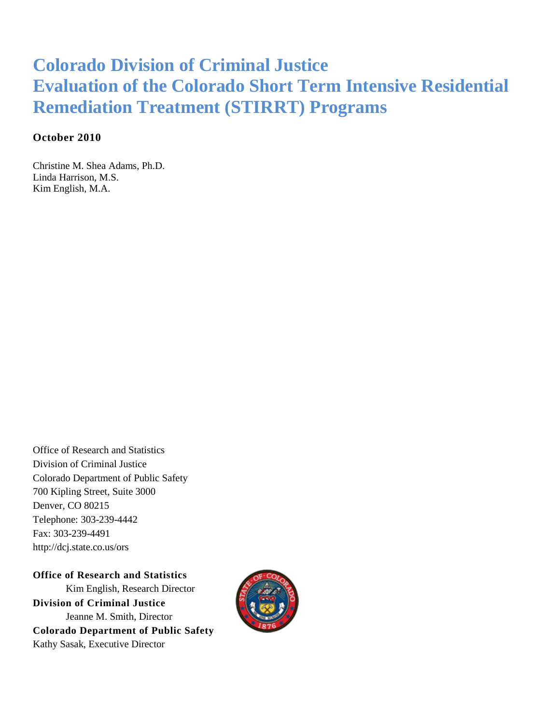## **Colorado Division of Criminal Justice Evaluation of the Colorado Short Term Intensive Residential Remediation Treatment (STIRRT) Programs**

### **October 2010**

Christine M. Shea Adams, Ph.D. Linda Harrison, M.S. Kim English, M.A.

Office of Research and Statistics Division of Criminal Justice Colorado Department of Public Safety 700 Kipling Street, Suite 3000 Denver, CO 80215 Telephone: 303-239-4442 Fax: 303-239-4491 http://dcj.state.co.us/ors

**Office of Research and Statistics** Kim English, Research Director **Division of Criminal Justice** Jeanne M. Smith, Director **Colorado Department of Public Safety** Kathy Sasak, Executive Director

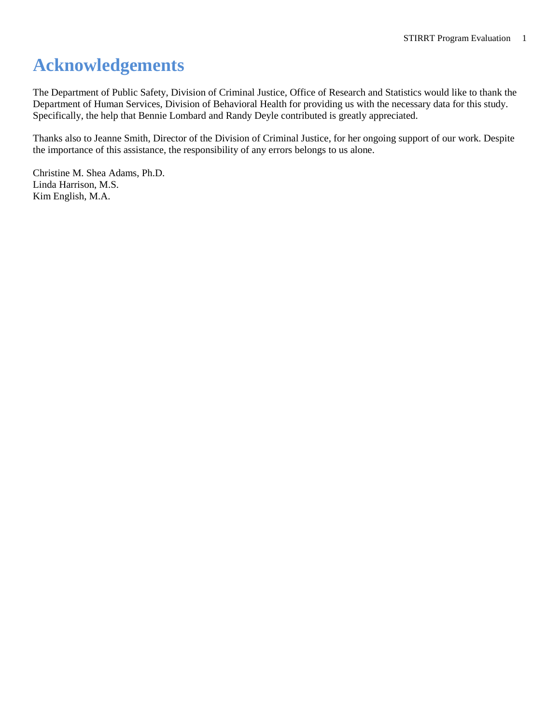## <span id="page-1-0"></span>**Acknowledgements**

The Department of Public Safety, Division of Criminal Justice, Office of Research and Statistics would like to thank the Department of Human Services, Division of Behavioral Health for providing us with the necessary data for this study. Specifically, the help that Bennie Lombard and Randy Deyle contributed is greatly appreciated.

Thanks also to Jeanne Smith, Director of the Division of Criminal Justice, for her ongoing support of our work. Despite the importance of this assistance, the responsibility of any errors belongs to us alone.

Christine M. Shea Adams, Ph.D. Linda Harrison, M.S. Kim English, M.A.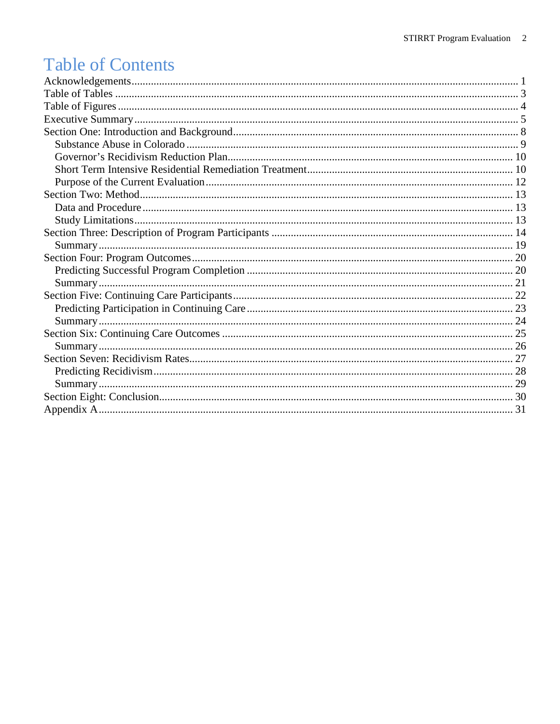## **Table of Contents**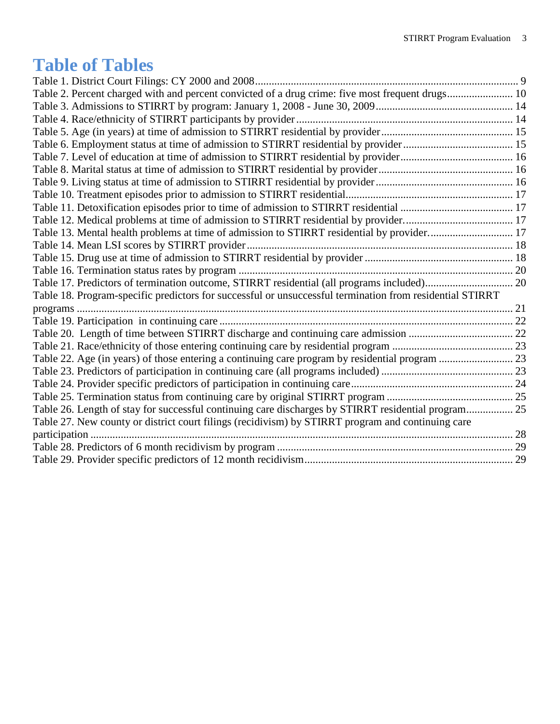## <span id="page-3-0"></span>**Table of Tables**

| Table 2. Percent charged with and percent convicted of a drug crime: five most frequent drugs 10         |  |
|----------------------------------------------------------------------------------------------------------|--|
|                                                                                                          |  |
|                                                                                                          |  |
|                                                                                                          |  |
|                                                                                                          |  |
|                                                                                                          |  |
|                                                                                                          |  |
|                                                                                                          |  |
|                                                                                                          |  |
|                                                                                                          |  |
|                                                                                                          |  |
| Table 13. Mental health problems at time of admission to STIRRT residential by provider 17               |  |
|                                                                                                          |  |
|                                                                                                          |  |
|                                                                                                          |  |
|                                                                                                          |  |
| Table 18. Program-specific predictors for successful or unsuccessful termination from residential STIRRT |  |
|                                                                                                          |  |
|                                                                                                          |  |
|                                                                                                          |  |
|                                                                                                          |  |
|                                                                                                          |  |
|                                                                                                          |  |
|                                                                                                          |  |
|                                                                                                          |  |
| Table 26. Length of stay for successful continuing care discharges by STIRRT residential program 25      |  |
| Table 27. New county or district court filings (recidivism) by STIRRT program and continuing care        |  |
|                                                                                                          |  |
|                                                                                                          |  |
|                                                                                                          |  |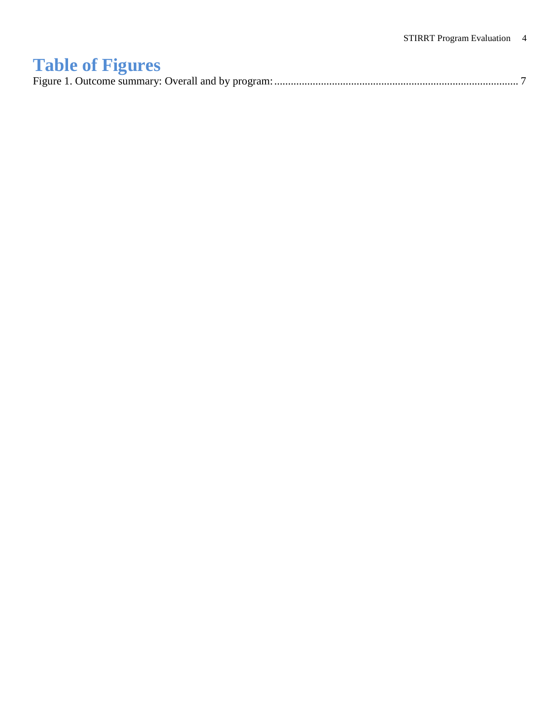# <span id="page-4-0"></span>**Table of Figures**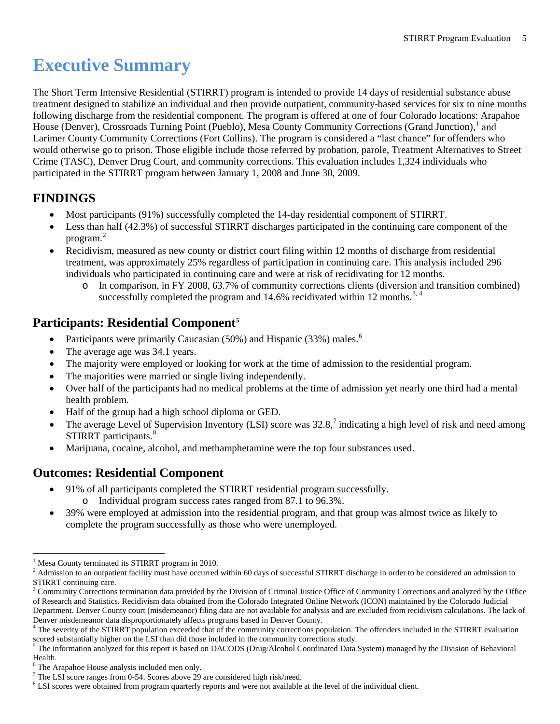## <span id="page-5-0"></span>**Executive Summary**

The Short Term Intensive Residential (STIRRT) program is intended to provide 14 days of residential substance abuse treatment designed to stabilize an individual and then provide outpatient, community-based services for six to nine months following discharge from the residential component. The program is offered at one of four Colorado locations: Arapahoe House (Denver), Crossroads Turning Point (Pueblo), Mesa County Community Corrections (Grand Junction),<sup>[1](#page-5-1)</sup> and Larimer County Community Corrections (Fort Collins). The program is considered a "last chance" for offenders who would otherwise go to prison. Those eligible include those referred by probation, parole, Treatment Alternatives to Street Crime (TASC), Denver Drug Court, and community corrections. This evaluation includes 1,324 individuals who participated in the STIRRT program between January 1, 2008 and June 30, 2009.

## **FINDINGS**

- Most participants (91%) successfully completed the 14-day residential component of STIRRT.
- Less than half (42.3%) of successful STIRRT discharges participated in the continuing care component of the program.[2](#page-5-2)
- Recidivism, measured as new county or district court filing within 12 months of discharge from residential treatment, was approximately 25% regardless of participation in continuing care. This analysis included 296 individuals who participated in continuing care and were at risk of recidivating for 12 months.
	- o In comparison, in FY 2008, 63.7% of community corrections clients (diversion and transition combined) successfully completed the program and  $14.6\%$  $14.6\%$  $14.6\%$  recidivated within 12 months.<sup>[3,](#page-5-3) 4</sup>

## **Participants: Residential Component[5](#page-5-5)**

- Participants were primarily Caucasian (50%) and Hispanic (33%) males.<sup>[6](#page-5-6)</sup>
- The average age was 34.1 years.
- The majority were employed or looking for work at the time of admission to the residential program.
- The majorities were married or single living independently.
- Over half of the participants had no medical problems at the time of admission yet nearly one third had a mental health problem.
- Half of the group had a high school diploma or GED.
- The average Level of Supervision Inventory (LSI) score was  $32.8$ ,<sup>[7](#page-5-7)</sup> indicating a high level of risk and need among STIRRT participants.<sup>[8](#page-5-8)</sup>
- Marijuana, cocaine, alcohol, and methamphetamine were the top four substances used.

### **Outcomes: Residential Component**

- 91% of all participants completed the STIRRT residential program successfully.
	- o Individual program success rates ranged from 87.1 to 96.3%.
- 39% were employed at admission into the residential program, and that group was almost twice as likely to complete the program successfully as those who were unemployed.

 <sup>1</sup> Mesa County terminated its STIRRT program in 2010.

<span id="page-5-2"></span><span id="page-5-1"></span><sup>&</sup>lt;sup>2</sup> Admission to an outpatient facility must have occurred within 60 days of successful STIRRT discharge in order to be considered an admission to STIRRT continuing care.

<span id="page-5-3"></span><sup>&</sup>lt;sup>3</sup> Community Corrections termination data provided by the Division of Criminal Justice Office of Community Corrections and analyzed by the Office of Research and Statistics. Recidivism data obtained from the Colorado Integrated Online Network (ICON) maintained by the Colorado Judicial Department. Denver County court (misdemeanor) filing data are not available for analysis and are excluded from recidivism calculations. The lack of Denver misdemeanor data disproportionately affects programs based in Denver County.

<span id="page-5-4"></span><sup>&</sup>lt;sup>4</sup> The severity of the STIRRT population exceeded that of the community corrections population. The offenders included in the STIRRT evaluation scored substantially higher on the LSI than did those included in the community corrections study.

<span id="page-5-5"></span><sup>&</sup>lt;sup>5</sup> The information analyzed for this report is based on DACODS (Drug/Alcohol Coordinated Data System) managed by the Division of Behavioral Health.

<span id="page-5-6"></span> $^6$  The Arapahoe House analysis included men only.<br>
<sup>7</sup> The LSI score ranges from 0-54. Scores above 29 are considered high risk/need.

<span id="page-5-8"></span><span id="page-5-7"></span> $8$  LSI scores were obtained from program quarterly reports and were not available at the level of the individual client.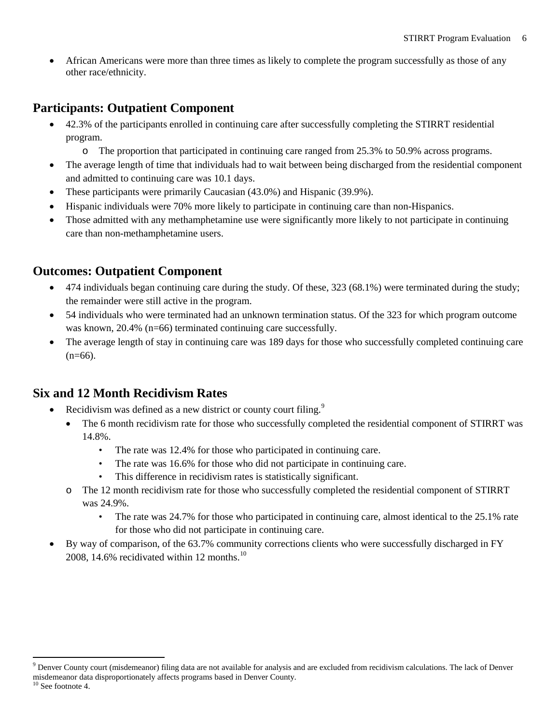• African Americans were more than three times as likely to complete the program successfully as those of any other race/ethnicity.

## **Participants: Outpatient Component**

- 42.3% of the participants enrolled in continuing care after successfully completing the STIRRT residential program.
	- o The proportion that participated in continuing care ranged from 25.3% to 50.9% across programs.
- The average length of time that individuals had to wait between being discharged from the residential component and admitted to continuing care was 10.1 days.
- These participants were primarily Caucasian (43.0%) and Hispanic (39.9%).
- Hispanic individuals were 70% more likely to participate in continuing care than non-Hispanics.
- Those admitted with any methamphetamine use were significantly more likely to not participate in continuing care than non-methamphetamine users.

## **Outcomes: Outpatient Component**

- 474 individuals began continuing care during the study. Of these, 323 (68.1%) were terminated during the study; the remainder were still active in the program.
- 54 individuals who were terminated had an unknown termination status. Of the 323 for which program outcome was known, 20.4% (n=66) terminated continuing care successfully.
- The average length of stay in continuing care was 189 days for those who successfully completed continuing care  $(n=66)$ .

## **Six and 12 Month Recidivism Rates**

- Recidivism was defined as a new district or county court filing.<sup>[9](#page-6-0)</sup>
	- The 6 month recidivism rate for those who successfully completed the residential component of STIRRT was 14.8%.
		- The rate was 12.4% for those who participated in continuing care.
		- The rate was 16.6% for those who did not participate in continuing care.
		- This difference in recidivism rates is statistically significant.
	- o The 12 month recidivism rate for those who successfully completed the residential component of STIRRT was 24.9%.
		- The rate was 24.7% for those who participated in continuing care, almost identical to the 25.1% rate for those who did not participate in continuing care.
- By way of comparison, of the 63.7% community corrections clients who were successfully discharged in FY 2008, 14.6% recidivated within 12 months. $^{10}$  $^{10}$  $^{10}$

<span id="page-6-1"></span> $10$  See footnote 4.

<span id="page-6-0"></span><sup>&</sup>lt;sup>9</sup> Denver County court (misdemeanor) filing data are not available for analysis and are excluded from recidivism calculations. The lack of Denver misdemeanor data disproportionately affects programs based in Denver County.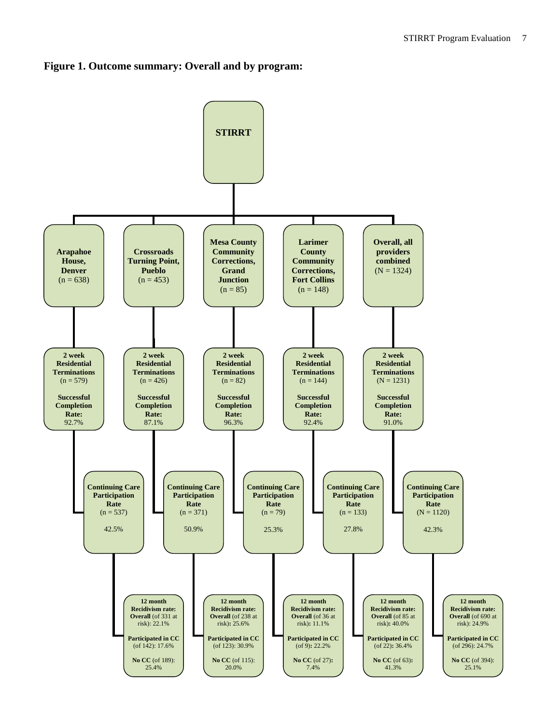#### **Figure 1. Outcome summary: Overall and by program:**

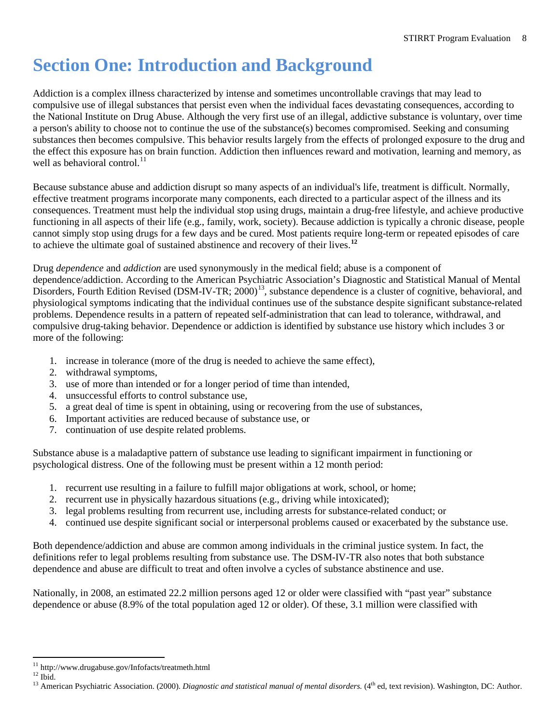## <span id="page-8-0"></span>**Section One: Introduction and Background**

Addiction is a complex illness characterized by intense and sometimes uncontrollable cravings that may lead to compulsive use of illegal substances that persist even when the individual faces devastating consequences, according to the National Institute on Drug Abuse. Although the very first use of an illegal, addictive substance is voluntary, over time a person's ability to choose not to continue the use of the substance(s) becomes compromised. Seeking and consuming substances then becomes compulsive. This behavior results largely from the effects of prolonged exposure to the drug and the effect this exposure has on brain function. Addiction then influences reward and motivation, learning and memory, as well as behavioral control.<sup>[11](#page-8-1)</sup>

Because substance abuse and addiction disrupt so many aspects of an individual's life, treatment is difficult. Normally, effective treatment programs incorporate many components, each directed to a particular aspect of the illness and its consequences. Treatment must help the individual stop using drugs, maintain a drug-free lifestyle, and achieve productive functioning in all aspects of their life (e.g., family, work, society). Because addiction is typically a chronic disease, people cannot simply stop using drugs for a few days and be cured. Most patients require long-term or repeated episodes of care to achieve the ultimate goal of sustained abstinence and recovery of their lives.**[12](#page-8-2)**

Drug *dependence* and *addiction* are used synonymously in the medical field; abuse is a component of dependence/addiction. According to the American Psychiatric Association's Diagnostic and Statistical Manual of Mental Disorders, Fourth Edition Revised (DSM-IV-TR; 2000)<sup>[13](#page-8-3)</sup>, substance dependence is a cluster of cognitive, behavioral, and physiological symptoms indicating that the individual continues use of the substance despite significant substance-related problems. Dependence results in a pattern of repeated self-administration that can lead to tolerance, withdrawal, and compulsive drug-taking behavior. Dependence or addiction is identified by substance use history which includes 3 or more of the following:

- 1. increase in tolerance (more of the drug is needed to achieve the same effect),
- 2. withdrawal symptoms,
- 3. use of more than intended or for a longer period of time than intended,
- 4. unsuccessful efforts to control substance use,
- 5. a great deal of time is spent in obtaining, using or recovering from the use of substances,
- 6. Important activities are reduced because of substance use, or
- 7. continuation of use despite related problems.

Substance abuse is a maladaptive pattern of substance use leading to significant impairment in functioning or psychological distress. One of the following must be present within a 12 month period:

- 1. recurrent use resulting in a failure to fulfill major obligations at work, school, or home;
- 2. recurrent use in physically hazardous situations (e.g., driving while intoxicated);
- 3. legal problems resulting from recurrent use, including arrests for substance-related conduct; or
- 4. continued use despite significant social or interpersonal problems caused or exacerbated by the substance use.

Both dependence/addiction and abuse are common among individuals in the criminal justice system. In fact, the definitions refer to legal problems resulting from substance use. The DSM-IV-TR also notes that both substance dependence and abuse are difficult to treat and often involve a cycles of substance abstinence and use.

Nationally, in 2008, an estimated 22.2 million persons aged 12 or older were classified with "past year" substance dependence or abuse (8.9% of the total population aged 12 or older). Of these, 3.1 million were classified with

<span id="page-8-3"></span><span id="page-8-2"></span>

<span id="page-8-1"></span><sup>&</sup>lt;sup>11</sup> http://www.drugabuse.gov/Infofacts/treatmeth.html<br><sup>12</sup> Ibid.<br><sup>13</sup> American Psychiatric Association. (2000). *Diagnostic and statistical manual of mental disorders*. (4<sup>th</sup> ed, text revision). Washington, DC: Author.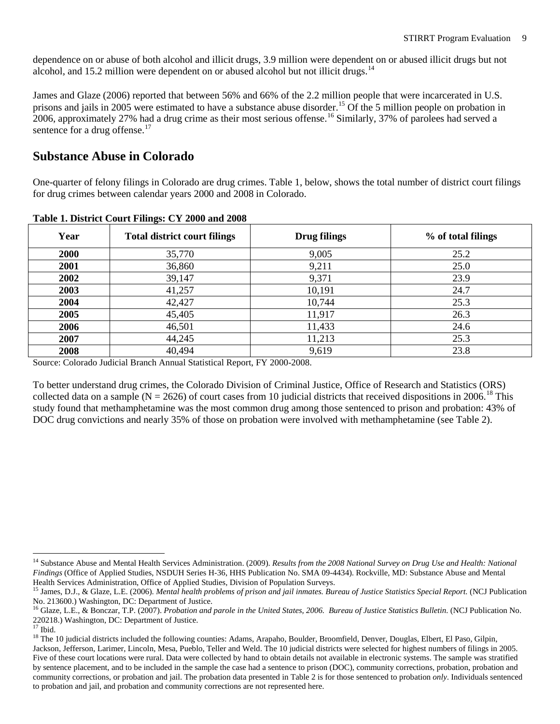dependence on or abuse of both alcohol and illicit drugs, 3.9 million were dependent on or abused illicit drugs but not alcohol, and 15.2 million were dependent on or abused alcohol but not illicit drugs. $14$ 

James and Glaze (2006) reported that between 56% and 66% of the 2.2 million people that were incarcerated in U.S. prisons and jails in 2005 were estimated to have a substance abuse disorder.<sup>[15](#page-9-3)</sup> Of the 5 million people on probation in 2006, approximately 27% had a drug crime as their most serious offense.<sup>[16](#page-9-4)</sup> Similarly, 37% of parolees had served a sentence for a drug offense.<sup>[17](#page-9-5)</sup>

### <span id="page-9-0"></span>**Substance Abuse in Colorado**

One-quarter of felony filings in Colorado are drug crimes. Table 1, below, shows the total number of district court filings for drug crimes between calendar years 2000 and 2008 in Colorado.

| Year | <b>Total district court filings</b> | <b>Drug filings</b>           | % of total filings |
|------|-------------------------------------|-------------------------------|--------------------|
| 2000 | 35,770                              | 9,005                         | 25.2               |
| 2001 | 36,860                              | 9,211                         | 25.0               |
| 2002 | 39,147                              | 9,371                         | 23.9               |
| 2003 | 41,257                              | 10,191                        | 24.7               |
| 2004 | 42,427                              | 10,744                        | 25.3               |
| 2005 | 45,405                              | 11,917                        | 26.3               |
| 2006 | 46,501                              | 11,433                        | 24.6               |
| 2007 | 44,245                              | 11,213                        | 25.3               |
| 2008 | 40,494<br>.<br>.                    | 9,619<br>____ _ _ _ _ _ _ _ _ | 23.8               |

<span id="page-9-1"></span>**Table 1. District Court Filings: CY 2000 and 2008**

Source: Colorado Judicial Branch Annual Statistical Report, FY 2000-2008.

To better understand drug crimes, the Colorado Division of Criminal Justice, Office of Research and Statistics (ORS) collected data on a sample ( $N = 2626$ ) of court cases from 10 judicial districts that received dispositions in 2006.<sup>[18](#page-9-6)</sup> This study found that methamphetamine was the most common drug among those sentenced to prison and probation: 43% of DOC drug convictions and nearly 35% of those on probation were involved with methamphetamine (see Table 2).

<span id="page-9-2"></span><sup>&</sup>lt;sup>14</sup> Substance Abuse and Mental Health Services Administration. (2009). *Results from the 2008 National Survey on Drug Use and Health: National Findings* (Office of Applied Studies, NSDUH Series H-36, HHS Publication No. SMA 09-4434). Rockville, MD: Substance Abuse and Mental Health Services Administration, Office of Applied Studies, Division of Population Surveys.

<span id="page-9-3"></span><sup>15</sup> James, D.J., & Glaze, L.E. (2006). *Mental health problems of prison and jail inmates. Bureau of Justice Statistics Special Report.* (NCJ Publication No. 213600.) Washington, DC: Department of Justice.

<span id="page-9-4"></span><sup>16</sup> Glaze, L.E., & Bonczar, T.P. (2007). *Probation and parole in the United States, 2006. Bureau of Justice Statistics Bulletin.* (NCJ Publication No. 220218.) Washington, DC: Department of Justice.

<span id="page-9-6"></span><span id="page-9-5"></span><sup>&</sup>lt;sup>18</sup> The 10 judicial districts included the following counties: Adams, Arapaho, Boulder, Broomfield, Denver, Douglas, Elbert, El Paso, Gilpin, Jackson, Jefferson, Larimer, Lincoln, Mesa, Pueblo, Teller and Weld. The 10 judicial districts were selected for highest numbers of filings in 2005. Five of these court locations were rural. Data were collected by hand to obtain details not available in electronic systems. The sample was stratified by sentence placement, and to be included in the sample the case had a sentence to prison (DOC), community corrections, probation, probation and community corrections, or probation and jail. The probation data presented in Table 2 is for those sentenced to probation *only*. Individuals sentenced to probation and jail, and probation and community corrections are not represented here.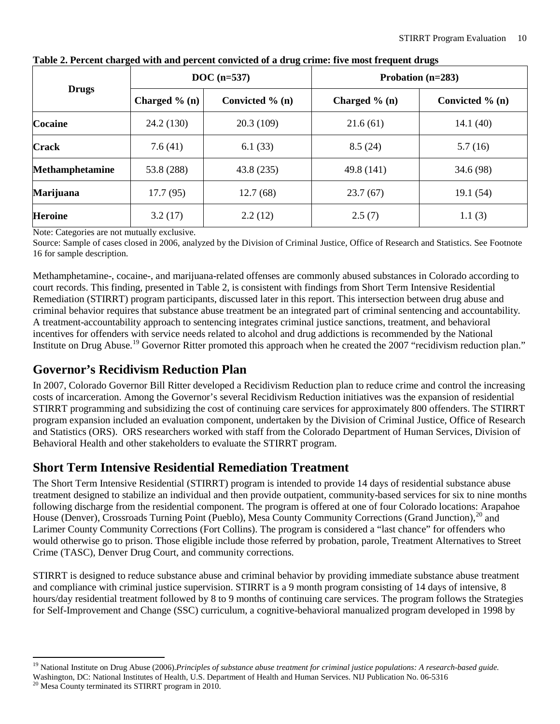|                        |                  | $DOC(n=537)$       | Probation $(n=283)$ |                    |  |
|------------------------|------------------|--------------------|---------------------|--------------------|--|
| <b>Drugs</b>           | Charged $\%$ (n) | Convicted $\%$ (n) | Charged $\%$ (n)    | Convicted $\%$ (n) |  |
| <b>Cocaine</b>         | 24.2(130)        | 20.3(109)          | 21.6(61)            | 14.1(40)           |  |
| <b>Crack</b>           | 7.6(41)          | 6.1(33)            | 8.5(24)             | 5.7(16)            |  |
| <b>Methamphetamine</b> | 53.8 (288)       | 43.8 (235)         | 49.8 (141)          | 34.6 (98)          |  |
| <b>Marijuana</b>       | 17.7(95)         | 12.7(68)           | 23.7(67)            | 19.1 (54)          |  |
| <b>Heroine</b>         | 3.2(17)          | 2.2(12)            | 2.5(7)              | 1.1(3)             |  |

<span id="page-10-2"></span>

Note: Categories are not mutually exclusive.

Source: Sample of cases closed in 2006, analyzed by the Division of Criminal Justice, Office of Research and Statistics. See Footnote 16 for sample description.

Methamphetamine-, cocaine-, and marijuana-related offenses are commonly abused substances in Colorado according to court records. This finding, presented in Table 2, is consistent with findings from Short Term Intensive Residential Remediation (STIRRT) program participants, discussed later in this report. This intersection between drug abuse and criminal behavior requires that substance abuse treatment be an integrated part of criminal sentencing and accountability*.*  A treatment-accountability approach to sentencing integrates criminal justice sanctions, treatment, and behavioral incentives for offenders with service needs related to alcohol and drug addictions is recommended by the National Institute on Drug Abuse.<sup>[19](#page-10-3)</sup> Governor Ritter promoted this approach when he created the 2007 "recidivism reduction plan."

## <span id="page-10-0"></span>**Governor's Recidivism Reduction Plan**

In 2007, Colorado Governor Bill Ritter developed a Recidivism Reduction plan to reduce crime and control the increasing costs of incarceration. Among the Governor's several Recidivism Reduction initiatives was the expansion of residential STIRRT programming and subsidizing the cost of continuing care services for approximately 800 offenders. The STIRRT program expansion included an evaluation component, undertaken by the Division of Criminal Justice, Office of Research and Statistics (ORS). ORS researchers worked with staff from the Colorado Department of Human Services, Division of Behavioral Health and other stakeholders to evaluate the STIRRT program.

## <span id="page-10-1"></span>**Short Term Intensive Residential Remediation Treatment**

The Short Term Intensive Residential (STIRRT) program is intended to provide 14 days of residential substance abuse treatment designed to stabilize an individual and then provide outpatient, community-based services for six to nine months following discharge from the residential component. The program is offered at one of four Colorado locations: Arapahoe House (Denver), Crossroads Turning Point (Pueblo), Mesa County Community Corrections (Grand Junction),<sup>[20](#page-10-4)</sup> and Larimer County Community Corrections (Fort Collins). The program is considered a "last chance" for offenders who would otherwise go to prison. Those eligible include those referred by probation, parole, Treatment Alternatives to Street Crime (TASC), Denver Drug Court, and community corrections.

STIRRT is designed to reduce substance abuse and criminal behavior by providing immediate substance abuse treatment and compliance with criminal justice supervision. STIRRT is a 9 month program consisting of 14 days of intensive, 8 hours/day residential treatment followed by 8 to 9 months of continuing care services. The program follows the Strategies for Self-Improvement and Change (SSC) curriculum, a cognitive-behavioral manualized program developed in 1998 by

<span id="page-10-3"></span><sup>&</sup>lt;sup>19</sup> National Institute on Drug Abuse (2006).*Principles of substance abuse treatment for criminal justice populations: A research-based guide.* 

<span id="page-10-4"></span>Washington, DC: National Institutes of Health, U.S. Department of Health and Human Services. NIJ Publication No. 06-5316 <sup>20</sup> Mesa County terminated its STIRRT program in 2010.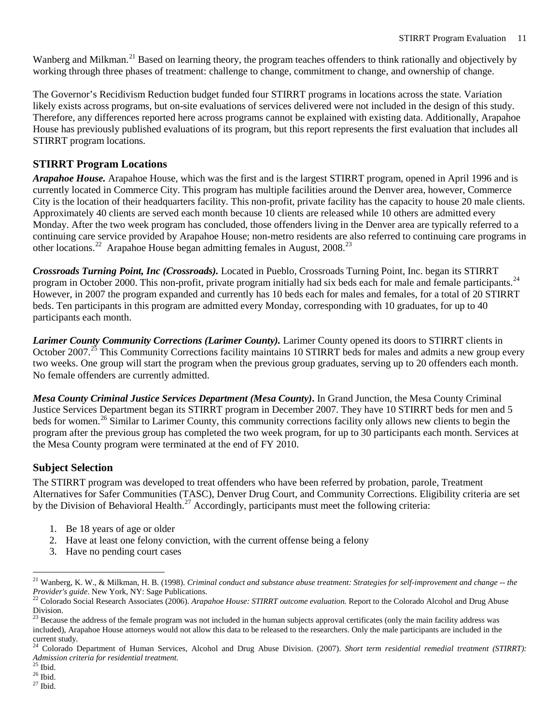Wanberg and Milkman.<sup>[21](#page-11-0)</sup> Based on learning theory, the program teaches offenders to think rationally and objectively by working through three phases of treatment: challenge to change, commitment to change, and ownership of change.

The Governor's Recidivism Reduction budget funded four STIRRT programs in locations across the state. Variation likely exists across programs, but on-site evaluations of services delivered were not included in the design of this study. Therefore, any differences reported here across programs cannot be explained with existing data. Additionally, Arapahoe House has previously published evaluations of its program, but this report represents the first evaluation that includes all STIRRT program locations.

### **STIRRT Program Locations**

*Arapahoe House.* Arapahoe House, which was the first and is the largest STIRRT program, opened in April 1996 and is currently located in Commerce City. This program has multiple facilities around the Denver area, however, Commerce City is the location of their headquarters facility. This non-profit, private facility has the capacity to house 20 male clients. Approximately 40 clients are served each month because 10 clients are released while 10 others are admitted every Monday. After the two week program has concluded, those offenders living in the Denver area are typically referred to a continuing care service provided by Arapahoe House; non-metro residents are also referred to continuing care programs in other locations.<sup>[22](#page-11-1)</sup> Arapahoe House began admitting females in August, 2008.<sup>23</sup>

*Crossroads Turning Point, Inc (Crossroads).* Located in Pueblo, Crossroads Turning Point, Inc. began its STIRRT program in October 2000. This non-profit, private program initially had six beds each for male and female participants.<sup>[24](#page-11-3)</sup> However, in 2007 the program expanded and currently has 10 beds each for males and females, for a total of 20 STIRRT beds. Ten participants in this program are admitted every Monday, corresponding with 10 graduates, for up to 40 participants each month.

*Larimer County Community Corrections (Larimer County).* Larimer County opened its doors to STIRRT clients in October 2007.<sup>[25](#page-11-4)</sup> This Community Corrections facility maintains 10 STIRRT beds for males and admits a new group every two weeks. One group will start the program when the previous group graduates, serving up to 20 offenders each month. No female offenders are currently admitted.

*Mesa County Criminal Justice Services Department (Mesa County)***.** In Grand Junction, the Mesa County Criminal Justice Services Department began its STIRRT program in December 2007. They have 10 STIRRT beds for men and 5 beds for women.<sup>[26](#page-11-5)</sup> Similar to Larimer County, this community corrections facility only allows new clients to begin the program after the previous group has completed the two week program, for up to 30 participants each month. Services at the Mesa County program were terminated at the end of FY 2010.

#### **Subject Selection**

The STIRRT program was developed to treat offenders who have been referred by probation, parole, Treatment Alternatives for Safer Communities (TASC), Denver Drug Court, and Community Corrections. Eligibility criteria are set by the Division of Behavioral Health.<sup>[27](#page-11-6)</sup> Accordingly, participants must meet the following criteria:

- 1. Be 18 years of age or older
- 2. Have at least one felony conviction, with the current offense being a felony
- 3. Have no pending court cases

<span id="page-11-0"></span> <sup>21</sup> Wanberg, K. W., & Milkman, H. B. (1998). *Criminal conduct and substance abuse treatment: Strategies for self-improvement and change -- the* 

<span id="page-11-1"></span><sup>&</sup>lt;sup>22</sup> Colorado Social Research Associates (2006). *Arapahoe House: STIRRT outcome evaluation*. Report to the Colorado Alcohol and Drug Abuse Division.

<span id="page-11-2"></span> $^{23}$  Because the address of the female program was not included in the human subjects approval certificates (only the main facility address was included), Arapahoe House attorneys would not allow this data to be released to the researchers. Only the male participants are included in the current study.

<span id="page-11-3"></span><sup>&</sup>lt;sup>24</sup> Colorado Department of Human Services, Alcohol and Drug Abuse Division. (2007). *Short term residential remedial treatment (STIRRT)*: *Admission criteria for residential treatment.* <sup>25</sup> Ibid. <sup>26</sup> Ibid. <sup>27</sup> Ibid.

<span id="page-11-4"></span>

<span id="page-11-5"></span>

<span id="page-11-6"></span>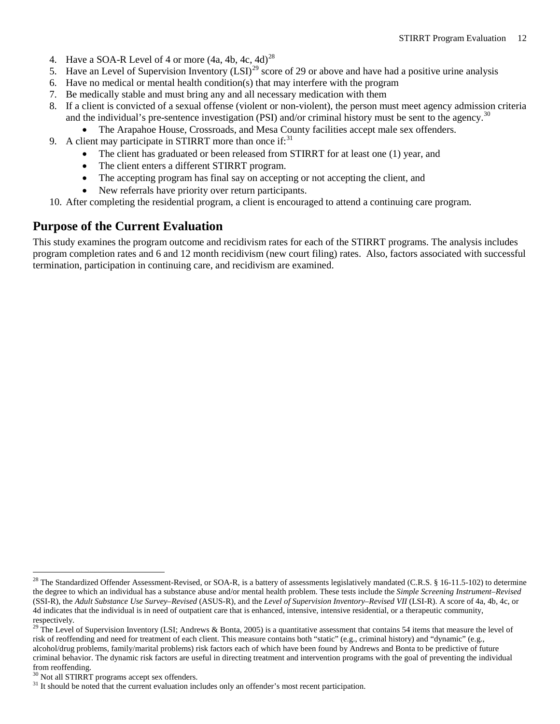- 4. Have a SOA-R Level of 4 or more  $(4a, 4b, 4c, 4d)^{28}$  $(4a, 4b, 4c, 4d)^{28}$  $(4a, 4b, 4c, 4d)^{28}$
- 5. Have an Level of Supervision Inventory  $(LSI)^{29}$  $(LSI)^{29}$  $(LSI)^{29}$  score of 29 or above and have had a positive urine analysis
- 6. Have no medical or mental health condition(s) that may interfere with the program
- 7. Be medically stable and must bring any and all necessary medication with them
- 8. If a client is convicted of a sexual offense (violent or non-violent), the person must meet agency admission criteria and the individual's pre-sentence investigation (PSI) and/or criminal history must be sent to the agency.<sup>[30](#page-12-3)</sup>
	- The Arapahoe House, Crossroads, and Mesa County facilities accept male sex offenders.
- 9. A client may participate in STIRRT more than once if: $31$ 
	- The client has graduated or been released from STIRRT for at least one (1) year, and
	- The client enters a different STIRRT program.
	- The accepting program has final say on accepting or not accepting the client, and
	- New referrals have priority over return participants.
- 10. After completing the residential program, a client is encouraged to attend a continuing care program.

### <span id="page-12-0"></span>**Purpose of the Current Evaluation**

This study examines the program outcome and recidivism rates for each of the STIRRT programs. The analysis includes program completion rates and 6 and 12 month recidivism (new court filing) rates. Also, factors associated with successful termination, participation in continuing care, and recidivism are examined.

<span id="page-12-1"></span><sup>&</sup>lt;sup>28</sup> The Standardized Offender Assessment-Revised, or SOA-R, is a battery of assessments legislatively mandated (C.R.S. § 16-11.5-102) to determine the degree to which an individual has a substance abuse and/or mental health problem. These tests include the *Simple Screening Instrument–Revised*  (SSI-R), the *Adult Substance Use Survey–Revised* (ASUS-R), and the *Level of Supervision Inventory–Revised VII* (LSI-R). A score of 4a, 4b, 4c, or 4d indicates that the individual is in need of outpatient care that is enhanced, intensive, intensive residential, or a therapeutic community, respectively.

<span id="page-12-2"></span><sup>&</sup>lt;sup>29</sup> The Level of Supervision Inventory (LSI; Andrews & Bonta, 2005) is a quantitative assessment that contains 54 items that measure the level of risk of reoffending and need for treatment of each client. This measure contains both "static" (e.g., criminal history) and "dynamic" (e.g., alcohol/drug problems, family/marital problems) risk factors each of which have been found by Andrews and Bonta to be predictive of future criminal behavior. The dynamic risk factors are useful in directing treatment and intervention programs with the goal of preventing the individual from reoffending.<br><sup>30</sup> Not all STIRRT programs accept sex offenders.

<span id="page-12-3"></span>

<span id="page-12-4"></span> $31$  It should be noted that the current evaluation includes only an offender's most recent participation.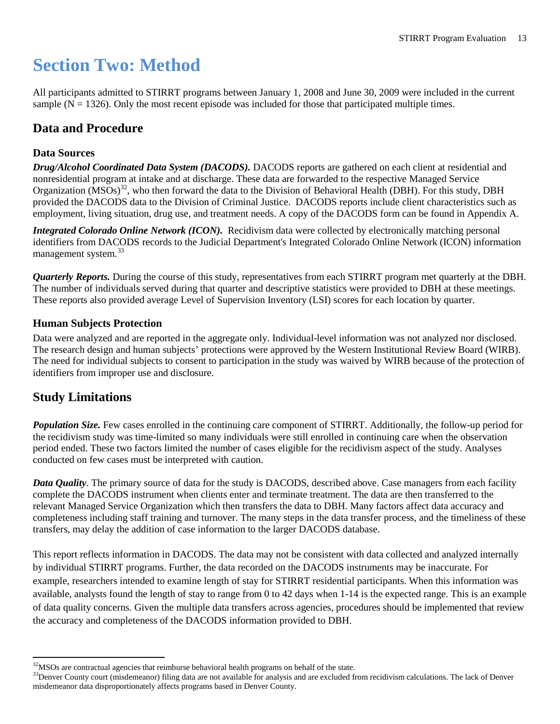## <span id="page-13-0"></span>**Section Two: Method**

All participants admitted to STIRRT programs between January 1, 2008 and June 30, 2009 were included in the current sample  $(N = 1326)$ . Only the most recent episode was included for those that participated multiple times.

## <span id="page-13-1"></span>**Data and Procedure**

#### **Data Sources**

*Drug/Alcohol Coordinated Data System (DACODS).* DACODS reports are gathered on each client at residential and nonresidential program at intake and at discharge. These data are forwarded to the respective Managed Service Organization  $(MSOs)^{32}$  $(MSOs)^{32}$  $(MSOs)^{32}$ , who then forward the data to the Division of Behavioral Health (DBH). For this study, DBH provided the DACODS data to the Division of Criminal Justice. DACODS reports include client characteristics such as employment, living situation, drug use, and treatment needs. A copy of the DACODS form can be found in Appendix A.

*Integrated Colorado Online Network (ICON).* Recidivism data were collected by electronically matching personal identifiers from DACODS records to the Judicial Department's Integrated Colorado Online Network (ICON) information management system.<sup>[33](#page-13-4)</sup>

*Quarterly Reports.* During the course of this study, representatives from each STIRRT program met quarterly at the DBH. The number of individuals served during that quarter and descriptive statistics were provided to DBH at these meetings. These reports also provided average Level of Supervision Inventory (LSI) scores for each location by quarter.

#### **Human Subjects Protection**

Data were analyzed and are reported in the aggregate only. Individual-level information was not analyzed nor disclosed. The research design and human subjects' protections were approved by the Western Institutional Review Board (WIRB). The need for individual subjects to consent to participation in the study was waived by WIRB because of the protection of identifiers from improper use and disclosure.

### <span id="page-13-2"></span>**Study Limitations**

*Population Size.* Few cases enrolled in the continuing care component of STIRRT. Additionally, the follow-up period for the recidivism study was time-limited so many individuals were still enrolled in continuing care when the observation period ended. These two factors limited the number of cases eligible for the recidivism aspect of the study. Analyses conducted on few cases must be interpreted with caution.

*Data Quality*. The primary source of data for the study is DACODS, described above. Case managers from each facility complete the DACODS instrument when clients enter and terminate treatment. The data are then transferred to the relevant Managed Service Organization which then transfers the data to DBH. Many factors affect data accuracy and completeness including staff training and turnover. The many steps in the data transfer process, and the timeliness of these transfers, may delay the addition of case information to the larger DACODS database.

This report reflects information in DACODS. The data may not be consistent with data collected and analyzed internally by individual STIRRT programs. Further, the data recorded on the DACODS instruments may be inaccurate. For example, researchers intended to examine length of stay for STIRRT residential participants. When this information was available, analysts found the length of stay to range from 0 to 42 days when 1-14 is the expected range. This is an example of data quality concerns. Given the multiple data transfers across agencies, procedures should be implemented that review the accuracy and completeness of the DACODS information provided to DBH.

<span id="page-13-3"></span><sup>&</sup>lt;sup>32</sup>MSOs are contractual agencies that reimburse behavioral health programs on behalf of the state.

<span id="page-13-4"></span> $33$ Denver County court (misdemeanor) filing data are not available for analysis and are excluded from recidivism calculations. The lack of Denver misdemeanor data disproportionately affects programs based in Denver County.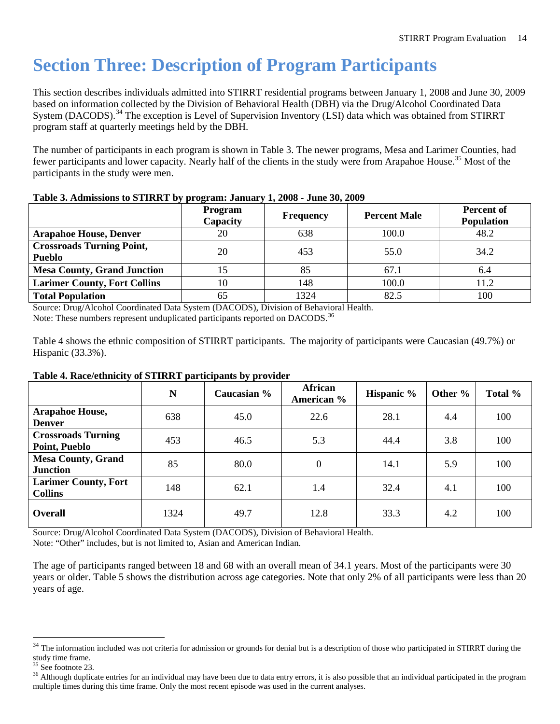## <span id="page-14-0"></span>**Section Three: Description of Program Participants**

This section describes individuals admitted into STIRRT residential programs between January 1, 2008 and June 30, 2009 based on information collected by the Division of Behavioral Health (DBH) via the Drug/Alcohol Coordinated Data System (DACODS).<sup>[34](#page-14-3)</sup> The exception is Level of Supervision Inventory (LSI) data which was obtained from STIRRT program staff at quarterly meetings held by the DBH.

The number of participants in each program is shown in Table 3. The newer programs, Mesa and Larimer Counties, had fewer participants and lower capacity. Nearly half of the clients in the study were from Arapahoe House.<sup>[35](#page-14-4)</sup> Most of the participants in the study were men.

|                                                   | <b>Program</b><br>Capacity | <b>Frequency</b> | <b>Percent Male</b> | Percent of<br><b>Population</b> |
|---------------------------------------------------|----------------------------|------------------|---------------------|---------------------------------|
| <b>Arapahoe House, Denver</b>                     | 20                         | 638              | 100.0               | 48.2                            |
| <b>Crossroads Turning Point,</b><br><b>Pueblo</b> | 20                         | 453              | 55.0                | 34.2                            |
| <b>Mesa County, Grand Junction</b>                |                            | 85               | 67.1                | 6.4                             |
| <b>Larimer County, Fort Collins</b>               | 10                         | 148              | 100.0               | 11.2                            |
| <b>Total Population</b>                           | 65                         | 1324             | 82.5                | 100                             |

#### <span id="page-14-1"></span>**Table 3. Admissions to STIRRT by program: January 1, 2008 - June 30, 2009**

Source: Drug/Alcohol Coordinated Data System (DACODS), Division of Behavioral Health. Note: These numbers represent unduplicated participants reported on DACODS.<sup>[36](#page-14-5)</sup>

Table 4 shows the ethnic composition of STIRRT participants. The majority of participants were Caucasian (49.7%) or Hispanic (33.3%).

| $\cdots$                                      | N    | Caucasian % | African<br>American % | Hispanic % | Other $\%$ | Total % |
|-----------------------------------------------|------|-------------|-----------------------|------------|------------|---------|
| <b>Arapahoe House,</b><br><b>Denver</b>       | 638  | 45.0        | 22.6                  | 28.1       | 4.4        | 100     |
| <b>Crossroads Turning</b><br>Point, Pueblo    | 453  | 46.5        | 5.3                   | 44.4       | 3.8        | 100     |
| <b>Mesa County, Grand</b><br><b>Junction</b>  | 85   | 80.0        | $\boldsymbol{0}$      | 14.1       | 5.9        | 100     |
| <b>Larimer County, Fort</b><br><b>Collins</b> | 148  | 62.1        | 1.4                   | 32.4       | 4.1        | 100     |
| <b>Overall</b>                                | 1324 | 49.7        | 12.8                  | 33.3       | 4.2        | 100     |

#### <span id="page-14-2"></span>**Table 4. Race/ethnicity of STIRRT participants by provider**

Source: Drug/Alcohol Coordinated Data System (DACODS), Division of Behavioral Health. Note: "Other" includes, but is not limited to, Asian and American Indian.

The age of participants ranged between 18 and 68 with an overall mean of 34.1 years. Most of the participants were 30 years or older. Table 5 shows the distribution across age categories. Note that only 2% of all participants were less than 20 years of age.

<span id="page-14-3"></span><sup>&</sup>lt;sup>34</sup> The information included was not criteria for admission or grounds for denial but is a description of those who participated in STIRRT during the study time frame.<br> $35$  See footnote 23.

<span id="page-14-4"></span>

<span id="page-14-5"></span> $36$  Although duplicate entries for an individual may have been due to data entry errors, it is also possible that an individual participated in the program multiple times during this time frame. Only the most recent episode was used in the current analyses.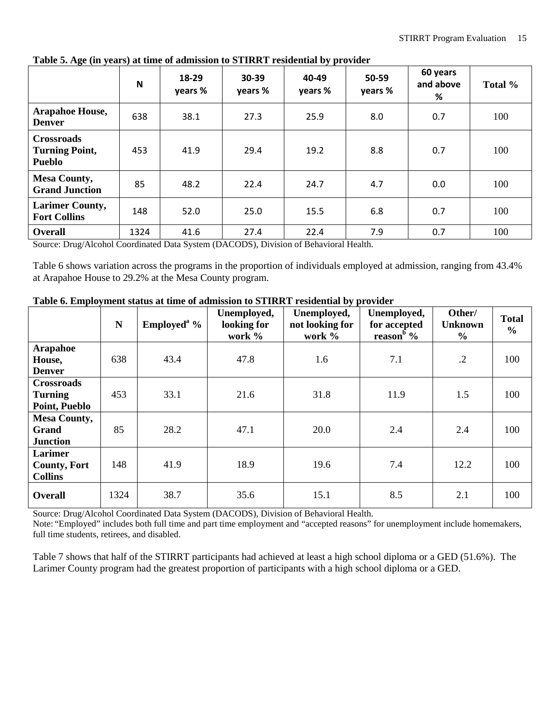|                                                             | N    | 18-29<br>years % | $30 - 39$<br>years % | 40-49<br>years % | 50-59<br>years % | 60 years<br>and above<br>% | Total % |
|-------------------------------------------------------------|------|------------------|----------------------|------------------|------------------|----------------------------|---------|
| <b>Arapahoe House,</b><br><b>Denver</b>                     | 638  | 38.1             | 27.3                 | 25.9             | 8.0              | 0.7                        | 100     |
| <b>Crossroads</b><br><b>Turning Point,</b><br><b>Pueblo</b> | 453  | 41.9             | 29.4                 | 19.2             | 8.8              | 0.7                        | 100     |
| <b>Mesa County,</b><br><b>Grand Junction</b>                | 85   | 48.2             | 22.4                 | 24.7             | 4.7              | 0.0                        | 100     |
| <b>Larimer County,</b><br><b>Fort Collins</b>               | 148  | 52.0             | 25.0                 | 15.5             | 6.8              | 0.7                        | 100     |
| Overall                                                     | 1324 | 41.6             | 27.4                 | 22.4             | 7.9              | 0.7                        | 100     |

<span id="page-15-0"></span>**Table 5. Age (in years) at time of admission to STIRRT residential by provider**

Source: Drug/Alcohol Coordinated Data System (DACODS), Division of Behavioral Health.

Table 6 shows variation across the programs in the proportion of individuals employed at admission, ranging from 43.4% at Arapahoe House to 29.2% at the Mesa County program.

|                                                        | N    | Employed <sup>a</sup> % | Unemployed,<br>looking for<br>work % | Unemployed,<br>not looking for<br>work % | Unemployed,<br>for accepted<br>reason <sup>b</sup> % | Other/<br><b>Unknown</b><br>$\frac{6}{9}$ | <b>Total</b><br>$\frac{6}{6}$ |
|--------------------------------------------------------|------|-------------------------|--------------------------------------|------------------------------------------|------------------------------------------------------|-------------------------------------------|-------------------------------|
| <b>Arapahoe</b><br>House,<br><b>Denver</b>             | 638  | 43.4                    | 47.8                                 | 1.6                                      | 7.1                                                  | $\cdot$ .2                                | 100                           |
| <b>Crossroads</b><br><b>Turning</b><br>Point, Pueblo   | 453  | 33.1                    | 21.6                                 | 31.8                                     | 11.9                                                 | 1.5                                       | 100                           |
| <b>Mesa County,</b><br><b>Grand</b><br><b>Junction</b> | 85   | 28.2                    | 47.1                                 | 20.0                                     | 2.4                                                  | 2.4                                       | 100                           |
| Larimer<br><b>County, Fort</b><br><b>Collins</b>       | 148  | 41.9                    | 18.9                                 | 19.6                                     | 7.4                                                  | 12.2                                      | 100                           |
| Overall                                                | 1324 | 38.7                    | 35.6                                 | 15.1                                     | 8.5                                                  | 2.1                                       | 100                           |

<span id="page-15-1"></span>**Table 6. Employment status at time of admission to STIRRT residential by provider**

Source: Drug/Alcohol Coordinated Data System (DACODS), Division of Behavioral Health. Note: "Employed" includes both full time and part time employment and "accepted reasons" for unemployment include homemakers, full time students, retirees, and disabled.

Table 7 shows that half of the STIRRT participants had achieved at least a high school diploma or a GED (51.6%). The Larimer County program had the greatest proportion of participants with a high school diploma or a GED.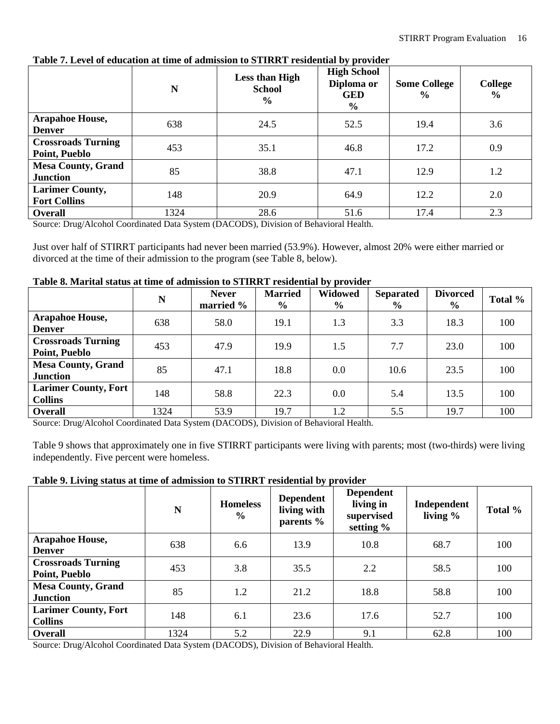|                                               | N    | <b>Less than High</b><br><b>School</b><br>$\frac{6}{6}$ | <b>High School</b><br>Diploma or<br><b>GED</b><br>$\frac{6}{10}$ | <b>Some College</b><br>$\frac{0}{0}$ | <b>College</b><br>$\frac{0}{0}$ |
|-----------------------------------------------|------|---------------------------------------------------------|------------------------------------------------------------------|--------------------------------------|---------------------------------|
| <b>Arapahoe House,</b><br><b>Denver</b>       | 638  | 24.5                                                    | 52.5                                                             | 19.4                                 | 3.6                             |
| <b>Crossroads Turning</b><br>Point, Pueblo    | 453  | 35.1                                                    | 46.8                                                             | 17.2                                 | 0.9                             |
| <b>Mesa County, Grand</b><br><b>Junction</b>  | 85   | 38.8                                                    | 47.1                                                             | 12.9                                 | 1.2                             |
| <b>Larimer County,</b><br><b>Fort Collins</b> | 148  | 20.9                                                    | 64.9                                                             | 12.2                                 | 2.0                             |
| <b>Overall</b>                                | 1324 | 28.6                                                    | 51.6                                                             | 17.4                                 | 2.3                             |

#### <span id="page-16-0"></span>**Table 7. Level of education at time of admission to STIRRT residential by provider**

Source: Drug/Alcohol Coordinated Data System (DACODS), Division of Behavioral Health.

Just over half of STIRRT participants had never been married (53.9%). However, almost 20% were either married or divorced at the time of their admission to the program (see Table 8, below).

<span id="page-16-1"></span>

|  |  |  | Table 8. Marital status at time of admission to STIRRT residential by provider |  |
|--|--|--|--------------------------------------------------------------------------------|--|
|  |  |  |                                                                                |  |

|                                               | N    | <b>Never</b><br>married % | <b>Married</b><br>$\frac{6}{9}$ | <b>Widowed</b><br>$\frac{6}{9}$ | <b>Separated</b><br>$\frac{6}{6}$ | <b>Divorced</b><br>$\frac{6}{9}$ | Total % |
|-----------------------------------------------|------|---------------------------|---------------------------------|---------------------------------|-----------------------------------|----------------------------------|---------|
| <b>Arapahoe House,</b><br><b>Denver</b>       | 638  | 58.0                      | 19.1                            | 1.3                             | 3.3                               | 18.3                             | 100     |
| <b>Crossroads Turning</b><br>Point, Pueblo    | 453  | 47.9                      | 19.9                            | 1.5                             | 7.7                               | 23.0                             | 100     |
| <b>Mesa County, Grand</b><br><b>Junction</b>  | 85   | 47.1                      | 18.8                            | 0.0                             | 10.6                              | 23.5                             | 100     |
| <b>Larimer County, Fort</b><br><b>Collins</b> | 148  | 58.8                      | 22.3                            | 0.0                             | 5.4                               | 13.5                             | 100     |
| <b>Overall</b>                                | 1324 | 53.9                      | 19.7                            | 1.2                             | 5.5                               | 19.7                             | 100     |

Source: Drug/Alcohol Coordinated Data System (DACODS), Division of Behavioral Health.

Table 9 shows that approximately one in five STIRRT participants were living with parents; most (two-thirds) were living independently. Five percent were homeless.

#### <span id="page-16-2"></span>**Table 9. Living status at time of admission to STIRRT residential by provider**

|                                               | N    | <b>Homeless</b><br>$\frac{6}{9}$ | <b>Dependent</b><br>living with<br>parents % | <b>Dependent</b><br>living in<br>supervised<br>setting % | Independent<br>living $\%$ | Total % |
|-----------------------------------------------|------|----------------------------------|----------------------------------------------|----------------------------------------------------------|----------------------------|---------|
| <b>Arapahoe House,</b><br><b>Denver</b>       | 638  | 6.6                              | 13.9                                         | 10.8                                                     | 68.7                       | 100     |
| <b>Crossroads Turning</b><br>Point, Pueblo    | 453  | 3.8                              | 35.5                                         | 2.2                                                      | 58.5                       | 100     |
| <b>Mesa County, Grand</b><br><b>Junction</b>  | 85   | 1.2                              | 21.2                                         | 18.8                                                     | 58.8                       | 100     |
| <b>Larimer County, Fort</b><br><b>Collins</b> | 148  | 6.1                              | 23.6                                         | 17.6                                                     | 52.7                       | 100     |
| <b>Overall</b>                                | 1324 | 5.2                              | 22.9                                         | 9.1                                                      | 62.8                       | 100     |

Source: Drug/Alcohol Coordinated Data System (DACODS), Division of Behavioral Health.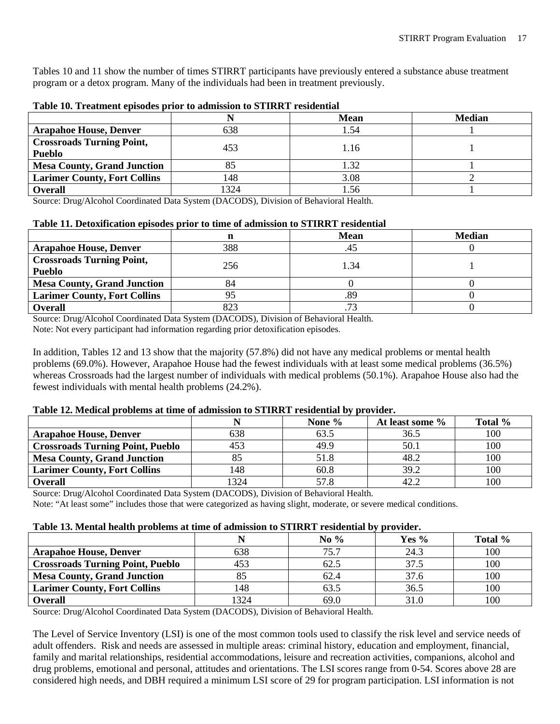Tables 10 and 11 show the number of times STIRRT participants have previously entered a substance abuse treatment program or a detox program. Many of the individuals had been in treatment previously.

|                                                   |      | <b>Mean</b> | <b>Median</b> |
|---------------------------------------------------|------|-------------|---------------|
| <b>Arapahoe House, Denver</b>                     | 638  | 1.54        |               |
| <b>Crossroads Turning Point,</b><br><b>Pueblo</b> | 453  | 1.16        |               |
| <b>Mesa County, Grand Junction</b>                |      | 1.32        |               |
| <b>Larimer County, Fort Collins</b>               | 148  | 3.08        |               |
| <b>Overall</b>                                    | .324 | 1.56        |               |

#### <span id="page-17-0"></span>**Table 10. Treatment episodes prior to admission to STIRRT residential**

Source: Drug/Alcohol Coordinated Data System (DACODS), Division of Behavioral Health.

#### <span id="page-17-1"></span>**Table 11. Detoxification episodes prior to time of admission to STIRRT residential**

|                                     |     | Mean                     | <b>Median</b> |  |
|-------------------------------------|-----|--------------------------|---------------|--|
| <b>Arapahoe House, Denver</b>       | 388 | 45                       |               |  |
| <b>Crossroads Turning Point,</b>    | 256 | 1.34                     |               |  |
| <b>Pueblo</b>                       |     |                          |               |  |
| <b>Mesa County, Grand Junction</b>  | 84  |                          |               |  |
| <b>Larimer County, Fort Collins</b> |     | .89                      |               |  |
| <b>Overall</b>                      | 823 | $\overline{\phantom{a}}$ |               |  |

Source: Drug/Alcohol Coordinated Data System (DACODS), Division of Behavioral Health.

Note: Not every participant had information regarding prior detoxification episodes.

In addition, Tables 12 and 13 show that the majority (57.8%) did not have any medical problems or mental health problems (69.0%). However, Arapahoe House had the fewest individuals with at least some medical problems (36.5%) whereas Crossroads had the largest number of individuals with medical problems (50.1%). Arapahoe House also had the fewest individuals with mental health problems (24.2%).

#### <span id="page-17-2"></span>**Table 12. Medical problems at time of admission to STIRRT residential by provider.**

|                                         |      | None % | At least some % | Total % |
|-----------------------------------------|------|--------|-----------------|---------|
| <b>Arapahoe House, Denver</b>           | 638  | 63.5   | 36.5            | 100     |
| <b>Crossroads Turning Point, Pueblo</b> | 453  | 49.9   | 50.1            | 100     |
| <b>Mesa County, Grand Junction</b>      |      | 51.8   | 48.2            | 100     |
| <b>Larimer County, Fort Collins</b>     | 148  | 60.8   | 39.2            | 100     |
| <b>Overall</b>                          | 1324 | 57.8   |                 | 100     |

Source: Drug/Alcohol Coordinated Data System (DACODS), Division of Behavioral Health.

Note: "At least some" includes those that were categorized as having slight, moderate, or severe medical conditions.

#### <span id="page-17-3"></span>**Table 13. Mental health problems at time of admission to STIRRT residential by provider.**

|                                         |      | No $%$ | Yes % | Total % |
|-----------------------------------------|------|--------|-------|---------|
| <b>Arapahoe House, Denver</b>           | 538  | 75.7   | 24.3  | 100     |
| <b>Crossroads Turning Point, Pueblo</b> | 453  | 62.5   | 37.5  | 100     |
| <b>Mesa County, Grand Junction</b>      |      | 62.4   | 37.6  | 100     |
| <b>Larimer County, Fort Collins</b>     | 148  | 63.5   | 36.5  | 100     |
| <b>Overall</b>                          | 1324 | 69.0   | 31.0  | 100     |

Source: Drug/Alcohol Coordinated Data System (DACODS), Division of Behavioral Health.

The Level of Service Inventory (LSI) is one of the most common tools used to classify the risk level and service needs of adult offenders. Risk and needs are assessed in multiple areas: criminal history, education and employment, financial, family and marital relationships, residential accommodations, leisure and recreation activities, companions, alcohol and drug problems, emotional and personal, attitudes and orientations. The LSI scores range from 0-54. Scores above 28 are considered high needs, and DBH required a minimum LSI score of 29 for program participation. LSI information is not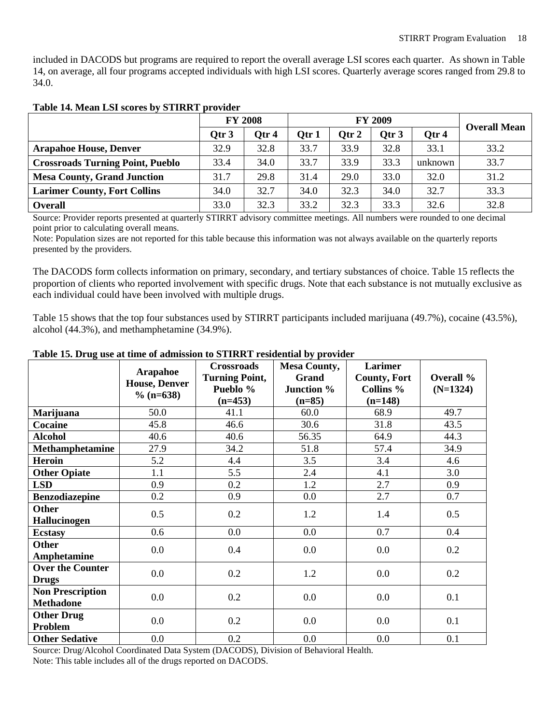included in DACODS but programs are required to report the overall average LSI scores each quarter. As shown in Table 14, on average, all four programs accepted individuals with high LSI scores. Quarterly average scores ranged from 29.8 to 34.0.

|                                         | <b>FY 2008</b>   |       | <b>FY 2009</b> |       |       |         | <b>Overall Mean</b> |
|-----------------------------------------|------------------|-------|----------------|-------|-------|---------|---------------------|
|                                         | Otr <sub>3</sub> | Otr 4 | Otr 1          | Otr 2 | Otr 3 | Otr 4   |                     |
| <b>Arapahoe House, Denver</b>           | 32.9             | 32.8  | 33.7           | 33.9  | 32.8  | 33.1    | 33.2                |
| <b>Crossroads Turning Point, Pueblo</b> | 33.4             | 34.0  | 33.7           | 33.9  | 33.3  | unknown | 33.7                |
| <b>Mesa County, Grand Junction</b>      | 31.7             | 29.8  | 31.4           | 29.0  | 33.0  | 32.0    | 31.2                |
| <b>Larimer County, Fort Collins</b>     | 34.0             | 32.7  | 34.0           | 32.3  | 34.0  | 32.7    | 33.3                |
| <b>Overall</b>                          | 33.0             | 32.3  | 33.2           | 32.3  | 33.3  | 32.6    | 32.8                |

#### <span id="page-18-0"></span>**Table 14. Mean LSI scores by STIRRT provider**

Source: Provider reports presented at quarterly STIRRT advisory committee meetings. All numbers were rounded to one decimal point prior to calculating overall means.

Note: Population sizes are not reported for this table because this information was not always available on the quarterly reports presented by the providers.

The DACODS form collects information on primary, secondary, and tertiary substances of choice. Table 15 reflects the proportion of clients who reported involvement with specific drugs. Note that each substance is not mutually exclusive as each individual could have been involved with multiple drugs.

Table 15 shows that the top four substances used by STIRRT participants included marijuana (49.7%), cocaine (43.5%), alcohol (44.3%), and methamphetamine (34.9%).

|                         |                                  | <b>Crossroads</b>     | <b>Mesa County,</b> | Larimer              |            |
|-------------------------|----------------------------------|-----------------------|---------------------|----------------------|------------|
|                         | Arapahoe<br><b>House, Denver</b> | <b>Turning Point,</b> | Grand               | <b>County, Fort</b>  | Overall %  |
|                         | $\%$ (n=638)                     | Pueblo %              | Junction %          | Collins <sup>%</sup> | $(N=1324)$ |
|                         |                                  | $(n=453)$             | $(n=85)$            | $(n=148)$            |            |
| <b>Marijuana</b>        | 50.0                             | 41.1                  | 60.0                | 68.9                 | 49.7       |
| Cocaine                 | 45.8                             | 46.6                  | 30.6                | 31.8                 | 43.5       |
| <b>Alcohol</b>          | 40.6                             | 40.6                  | 56.35               | 64.9                 | 44.3       |
| <b>Methamphetamine</b>  | 27.9                             | 34.2                  | 51.8                | 57.4                 | 34.9       |
| <b>Heroin</b>           | 5.2                              | 4.4                   | 3.5                 | 3.4                  | 4.6        |
| <b>Other Opiate</b>     | 1.1                              | 5.5                   | 2.4                 | 4.1                  | 3.0        |
| <b>LSD</b>              | 0.9                              | 0.2                   | 1.2                 | 2.7                  | 0.9        |
| <b>Benzodiazepine</b>   | 0.2                              | 0.9                   | 0.0                 | 2.7                  | 0.7        |
| <b>Other</b>            | 0.5                              | 0.2                   | 1.2                 | 1.4                  | 0.5        |
| <b>Hallucinogen</b>     |                                  |                       |                     |                      |            |
| <b>Ecstasy</b>          | 0.6                              | 0.0                   | 0.0                 | 0.7                  | 0.4        |
| <b>Other</b>            | 0.0                              | 0.4                   | 0.0                 | 0.0                  | 0.2        |
| Amphetamine             |                                  |                       |                     |                      |            |
| <b>Over the Counter</b> | 0.0                              | 0.2                   | 1.2                 | 0.0                  | 0.2        |
| <b>Drugs</b>            |                                  |                       |                     |                      |            |
| <b>Non Prescription</b> | 0.0                              | 0.2                   | 0.0                 | 0.0                  | 0.1        |
| <b>Methadone</b>        |                                  |                       |                     |                      |            |
| <b>Other Drug</b>       | 0.0                              | 0.2                   | 0.0                 | 0.0                  | 0.1        |
| Problem                 |                                  |                       |                     |                      |            |
| <b>Other Sedative</b>   | 0.0                              | 0.2                   | 0.0                 | 0.0                  | 0.1        |

#### <span id="page-18-1"></span>**Table 15. Drug use at time of admission to STIRRT residential by provider**

Source: Drug/Alcohol Coordinated Data System (DACODS), Division of Behavioral Health.

Note: This table includes all of the drugs reported on DACODS.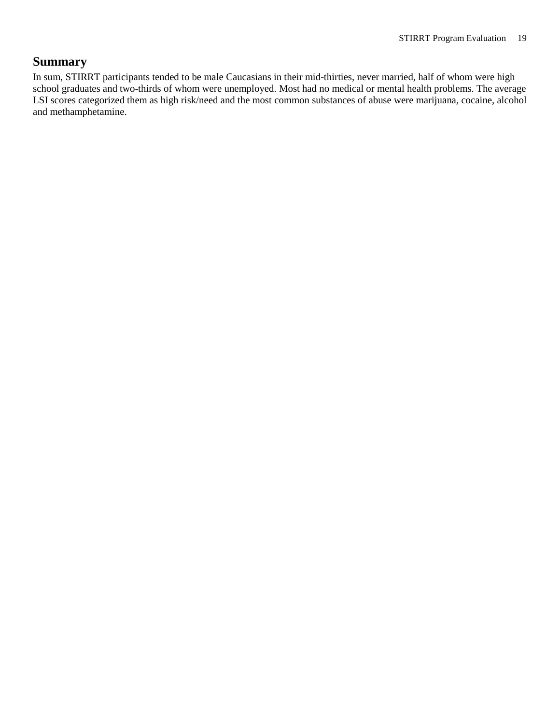### <span id="page-19-0"></span>**Summary**

In sum, STIRRT participants tended to be male Caucasians in their mid-thirties, never married, half of whom were high school graduates and two-thirds of whom were unemployed. Most had no medical or mental health problems. The average LSI scores categorized them as high risk/need and the most common substances of abuse were marijuana, cocaine, alcohol and methamphetamine.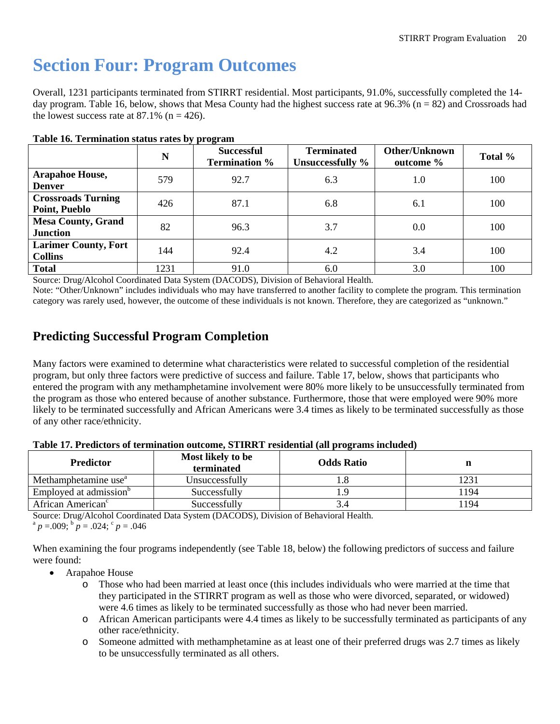## <span id="page-20-0"></span>**Section Four: Program Outcomes**

Overall, 1231 participants terminated from STIRRT residential. Most participants, 91.0%, successfully completed the 14 day program. Table 16, below, shows that Mesa County had the highest success rate at  $96.3\%$  (n = 82) and Crossroads had the lowest success rate at 87.1% ( $n = 426$ ).

|                                               | N    | . .<br><b>Successful</b><br><b>Termination %</b> | <b>Terminated</b><br>Unsuccessfully % | Other/Unknown<br>outcome % | Total % |
|-----------------------------------------------|------|--------------------------------------------------|---------------------------------------|----------------------------|---------|
| <b>Arapahoe House,</b><br><b>Denver</b>       | 579  | 92.7                                             | 6.3                                   | 1.0                        | 100     |
| <b>Crossroads Turning</b><br>Point, Pueblo    | 426  | 87.1                                             | 6.8                                   | 6.1                        | 100     |
| <b>Mesa County, Grand</b><br><b>Junction</b>  | 82   | 96.3                                             | 3.7                                   | 0.0                        | 100     |
| <b>Larimer County, Fort</b><br><b>Collins</b> | 144  | 92.4                                             | 4.2                                   | 3.4                        | 100     |
| <b>Total</b>                                  | 1231 | 91.0                                             | 6.0                                   | 3.0                        | 100     |

#### <span id="page-20-2"></span>**Table 16. Termination status rates by program**

Source: Drug/Alcohol Coordinated Data System (DACODS), Division of Behavioral Health.

Note: "Other/Unknown" includes individuals who may have transferred to another facility to complete the program. This termination category was rarely used, however, the outcome of these individuals is not known. Therefore, they are categorized as "unknown."

## <span id="page-20-1"></span>**Predicting Successful Program Completion**

Many factors were examined to determine what characteristics were related to successful completion of the residential program, but only three factors were predictive of success and failure. Table 17, below, shows that participants who entered the program with any methamphetamine involvement were 80% more likely to be unsuccessfully terminated from the program as those who entered because of another substance. Furthermore, those that were employed were 90% more likely to be terminated successfully and African Americans were 3.4 times as likely to be terminated successfully as those of any other race/ethnicity.

<span id="page-20-3"></span>

| Table 17. Predictors of termination outcome, STIRRT residential (all programs included) |  |  |
|-----------------------------------------------------------------------------------------|--|--|
|-----------------------------------------------------------------------------------------|--|--|

| <b>Predictor</b>                   | Most likely to be<br>terminated | <b>Odds Ratio</b> |           |
|------------------------------------|---------------------------------|-------------------|-----------|
| Methamphetamine use <sup>"</sup>   | Unsuccessfully                  | 1.0               | $\bigcap$ |
| Employed at admission <sup>b</sup> | Successfully                    |                   | 194       |
| African American <sup>c</sup>      | Successfully                    |                   | 194       |

Source: Drug/Alcohol Coordinated Data System (DACODS), Division of Behavioral Health.

 $a^p p = 0.009$ ;  $b^p p = 0.024$ ;  $c^p p = 0.046$ 

When examining the four programs independently (see Table 18, below) the following predictors of success and failure were found:

- Arapahoe House
	- o Those who had been married at least once (this includes individuals who were married at the time that they participated in the STIRRT program as well as those who were divorced, separated, or widowed) were 4.6 times as likely to be terminated successfully as those who had never been married.
	- o African American participants were 4.4 times as likely to be successfully terminated as participants of any other race/ethnicity.
	- o Someone admitted with methamphetamine as at least one of their preferred drugs was 2.7 times as likely to be unsuccessfully terminated as all others.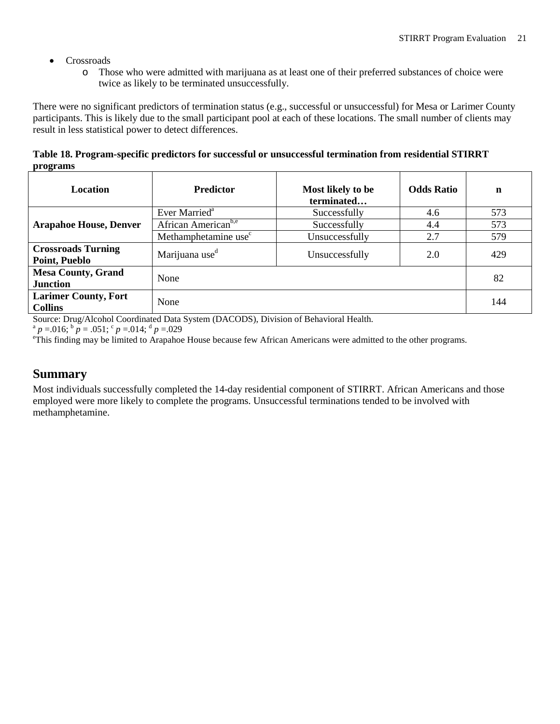- Crossroads
	- o Those who were admitted with marijuana as at least one of their preferred substances of choice were twice as likely to be terminated unsuccessfully.

There were no significant predictors of termination status (e.g., successful or unsuccessful) for Mesa or Larimer County participants. This is likely due to the small participant pool at each of these locations. The small number of clients may result in less statistical power to detect differences.

<span id="page-21-1"></span>**Table 18. Program-specific predictors for successful or unsuccessful termination from residential STIRRT programs**

| Location                                              | <b>Predictor</b>                 | Most likely to be<br>terminated | <b>Odds Ratio</b> | $\mathbf n$ |  |
|-------------------------------------------------------|----------------------------------|---------------------------------|-------------------|-------------|--|
|                                                       | Ever Married <sup>a</sup>        | Successfully                    | 4.6               | 573         |  |
| <b>Arapahoe House, Denver</b>                         | African American <sup>b,e</sup>  | Successfully                    | 4.4               | 573         |  |
|                                                       | Methamphetamine use <sup>c</sup> | Unsuccessfully                  | 2.7               | 579         |  |
| <b>Crossroads Turning</b><br>Point, Pueblo            | Marijuana use <sup>d</sup>       | Unsuccessfully                  | 2.0               | 429         |  |
| <b>Mesa County, Grand</b><br><b>Junction</b>          | None                             |                                 |                   |             |  |
| <b>Larimer County, Fort</b><br>None<br><b>Collins</b> |                                  |                                 |                   |             |  |

Source: Drug/Alcohol Coordinated Data System (DACODS), Division of Behavioral Health.

 $a^p$  *p* = .016;  $b^p$  *p* = .051;  $c^p$  *p* = .014;  $d^p$  *p* = .029

<sup>e</sup>This finding may be limited to Arapahoe House because few African Americans were admitted to the other programs.

### <span id="page-21-0"></span>**Summary**

Most individuals successfully completed the 14-day residential component of STIRRT. African Americans and those employed were more likely to complete the programs. Unsuccessful terminations tended to be involved with methamphetamine.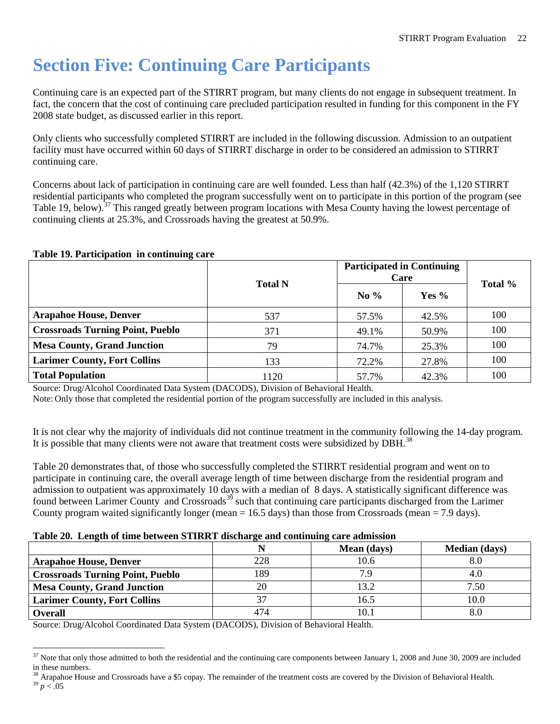## <span id="page-22-0"></span>**Section Five: Continuing Care Participants**

Continuing care is an expected part of the STIRRT program, but many clients do not engage in subsequent treatment. In fact, the concern that the cost of continuing care precluded participation resulted in funding for this component in the FY 2008 state budget, as discussed earlier in this report.

Only clients who successfully completed STIRRT are included in the following discussion. Admission to an outpatient facility must have occurred within 60 days of STIRRT discharge in order to be considered an admission to STIRRT continuing care.

Concerns about lack of participation in continuing care are well founded. Less than half (42.3%) of the 1,120 STIRRT residential participants who completed the program successfully went on to participate in this portion of the program (see Table 19, below).<sup>[37](#page-22-3)</sup> This ranged greatly between program locations with Mesa County having the lowest percentage of continuing clients at 25.3%, and Crossroads having the greatest at 50.9%.

#### <span id="page-22-1"></span>**Table 19. Participation in continuing care**

|                                         | <b>Total N</b> | <b>Participated in Continuing</b><br>Care | Total % |     |
|-----------------------------------------|----------------|-------------------------------------------|---------|-----|
|                                         |                | No $\%$                                   | Yes $%$ |     |
| <b>Arapahoe House, Denver</b>           | 537            | 57.5%                                     | 42.5%   | 100 |
| <b>Crossroads Turning Point, Pueblo</b> | 371            | 49.1%                                     | 50.9%   | 100 |
| <b>Mesa County, Grand Junction</b>      | 79             | 74.7%                                     | 25.3%   | 100 |
| <b>Larimer County, Fort Collins</b>     | 133            | 72.2%                                     | 27.8%   | 100 |
| <b>Total Population</b>                 | 1120           | 57.7%                                     | 42.3%   | 100 |

Source: Drug/Alcohol Coordinated Data System (DACODS), Division of Behavioral Health.

Note: Only those that completed the residential portion of the program successfully are included in this analysis.

It is not clear why the majority of individuals did not continue treatment in the community following the 14-day program. It is possible that many clients were not aware that treatment costs were subsidized by DBH.<sup>[38](#page-22-4)</sup>

Table 20 demonstrates that, of those who successfully completed the STIRRT residential program and went on to participate in continuing care, the overall average length of time between discharge from the residential program and admission to outpatient was approximately 10 days with a median of 8 days. A statistically significant difference was found between Larimer County and Crossroads<sup>[39](#page-22-5)</sup> such that continuing care participants discharged from the Larimer County program waited significantly longer (mean = 16.5 days) than those from Crossroads (mean = 7.9 days).

#### <span id="page-22-2"></span>**Table 20. Length of time between STIRRT discharge and continuing care admission**

|                                         |     | Mean (days) | <b>Median</b> (days) |
|-----------------------------------------|-----|-------------|----------------------|
| <b>Arapahoe House, Denver</b>           | 228 | 10.6        | 8.0                  |
| <b>Crossroads Turning Point, Pueblo</b> | 189 | 7.9         | 4.0                  |
| <b>Mesa County, Grand Junction</b>      | 20  | 13.2        | 7.50                 |
| <b>Larimer County, Fort Collins</b>     | 37  | 16.5        | 10.0                 |
| <b>Overall</b>                          | 474 | 10.         |                      |

Source: Drug/Alcohol Coordinated Data System (DACODS), Division of Behavioral Health.

<span id="page-22-3"></span> $37$  Note that only those admitted to both the residential and the continuing care components between January 1, 2008 and June 30, 2009 are included in these numbers.

<span id="page-22-5"></span><span id="page-22-4"></span><sup>&</sup>lt;sup>38</sup> Arapahoe House and Crossroads have a \$5 copay. The remainder of the treatment costs are covered by the Division of Behavioral Health. <sup>39</sup> *p* < .05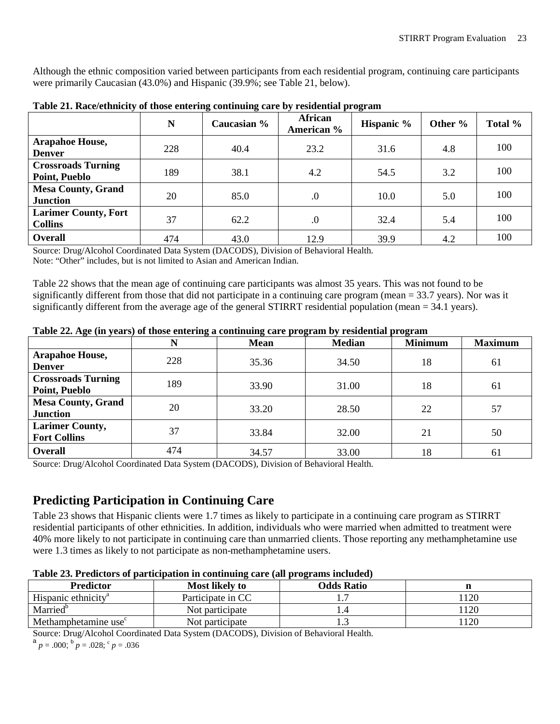Although the ethnic composition varied between participants from each residential program, continuing care participants were primarily Caucasian (43.0%) and Hispanic (39.9%; see Table 21, below).

|                                               | N   | Caucasian % | African<br>American % | Hispanic % | Other % | Total % |
|-----------------------------------------------|-----|-------------|-----------------------|------------|---------|---------|
| <b>Arapahoe House,</b><br><b>Denver</b>       | 228 | 40.4        | 23.2                  | 31.6       | 4.8     | 100     |
| <b>Crossroads Turning</b><br>Point, Pueblo    | 189 | 38.1        | 4.2                   | 54.5       | 3.2     | 100     |
| <b>Mesa County, Grand</b><br><b>Junction</b>  | 20  | 85.0        | $\cdot$               | 10.0       | 5.0     | 100     |
| <b>Larimer County, Fort</b><br><b>Collins</b> | 37  | 62.2        | $\cdot$               | 32.4       | 5.4     | 100     |
| <b>Overall</b>                                | 474 | 43.0        | 12.9                  | 39.9       | 4.2     | 100     |

<span id="page-23-1"></span>**Table 21. Race/ethnicity of those entering continuing care by residential program**

Source: Drug/Alcohol Coordinated Data System (DACODS), Division of Behavioral Health. Note: "Other" includes, but is not limited to Asian and American Indian.

Table 22 shows that the mean age of continuing care participants was almost 35 years. This was not found to be significantly different from those that did not participate in a continuing care program (mean = 33.7 years). Nor was it significantly different from the average age of the general STIRRT residential population (mean  $= 34.1$  years).

|                                               | N   | <b>Mean</b> | <b>Median</b> | <b>Minimum</b> | <b>Maximum</b> |
|-----------------------------------------------|-----|-------------|---------------|----------------|----------------|
| <b>Arapahoe House,</b><br><b>Denver</b>       | 228 | 35.36       | 34.50         | 18             | -61            |
| <b>Crossroads Turning</b><br>Point, Pueblo    | 189 | 33.90       | 31.00         | 18             | 61             |
| <b>Mesa County, Grand</b><br><b>Junction</b>  | 20  | 33.20       | 28.50         | 22             | 57             |
| <b>Larimer County,</b><br><b>Fort Collins</b> | 37  | 33.84       | 32.00         | 21             | 50             |
| Overall                                       | 474 | 34.57       | 33.00         | 18             | 61             |

#### <span id="page-23-2"></span>**Table 22. Age (in years) of those entering a continuing care program by residential program**

Source: Drug/Alcohol Coordinated Data System (DACODS), Division of Behavioral Health.

### <span id="page-23-0"></span>**Predicting Participation in Continuing Care**

Table 23 shows that Hispanic clients were 1.7 times as likely to participate in a continuing care program as STIRRT residential participants of other ethnicities. In addition, individuals who were married when admitted to treatment were 40% more likely to not participate in continuing care than unmarried clients. Those reporting any methamphetamine use were 1.3 times as likely to not participate as non-methamphetamine users.

| <b>Predictor</b>                 | <b>Most likely to</b> | <b>Odds Ratio</b> |     |
|----------------------------------|-----------------------|-------------------|-----|
| Hispanic ethnicity <sup>a</sup>  | Participate in CC     |                   | 120 |
| Married <sup>b</sup>             | Not participate       |                   | 120 |
| Methamphetamine use <sup>c</sup> | Not participate       | ن                 | 120 |

<span id="page-23-3"></span>**Table 23. Predictors of participation in continuing care (all programs included)**

Source: Drug/Alcohol Coordinated Data System (DACODS), Division of Behavioral Health.

 $a_p = .000$ ;  $b_p = .028$ ;  $c_p = .036$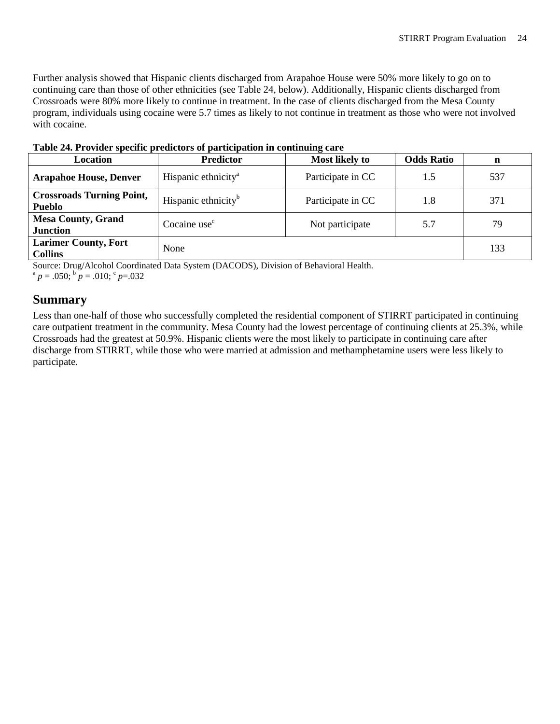Further analysis showed that Hispanic clients discharged from Arapahoe House were 50% more likely to go on to continuing care than those of other ethnicities (see Table 24, below). Additionally, Hispanic clients discharged from Crossroads were 80% more likely to continue in treatment. In the case of clients discharged from the Mesa County program, individuals using cocaine were 5.7 times as likely to not continue in treatment as those who were not involved with cocaine.

| <b>Location</b>                                   | <b>Predictor</b>                | <b>Most likely to</b> | <b>Odds Ratio</b> | n   |  |  |  |
|---------------------------------------------------|---------------------------------|-----------------------|-------------------|-----|--|--|--|
| <b>Arapahoe House, Denver</b>                     | Hispanic ethnicity <sup>a</sup> | Participate in CC     | 1.5               | 537 |  |  |  |
| <b>Crossroads Turning Point,</b><br><b>Pueblo</b> | Hispanic ethnicity <sup>b</sup> | Participate in CC     | 1.8               | 371 |  |  |  |
| <b>Mesa County, Grand</b><br><b>Junction</b>      | Cocaine use <sup>c</sup>        | Not participate       | 5.7               | 79  |  |  |  |
| <b>Larimer County, Fort</b><br><b>Collins</b>     | None                            |                       |                   | 133 |  |  |  |

<span id="page-24-1"></span>**Table 24. Provider specific predictors of participation in continuing care**

Source: Drug/Alcohol Coordinated Data System (DACODS), Division of Behavioral Health.

<span id="page-24-0"></span> $a^a p = .050$ ;  $b^b p = .010$ ;  $c^c p = .032$ 

### **Summary**

Less than one-half of those who successfully completed the residential component of STIRRT participated in continuing care outpatient treatment in the community. Mesa County had the lowest percentage of continuing clients at 25.3%, while Crossroads had the greatest at 50.9%. Hispanic clients were the most likely to participate in continuing care after discharge from STIRRT, while those who were married at admission and methamphetamine users were less likely to participate.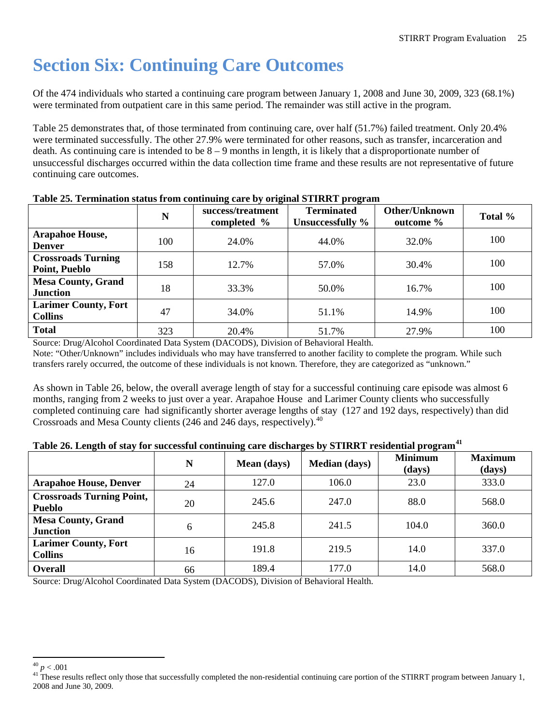## <span id="page-25-0"></span>**Section Six: Continuing Care Outcomes**

Of the 474 individuals who started a continuing care program between January 1, 2008 and June 30, 2009, 323 (68.1%) were terminated from outpatient care in this same period. The remainder was still active in the program.

Table 25 demonstrates that, of those terminated from continuing care, over half (51.7%) failed treatment. Only 20.4% were terminated successfully. The other 27.9% were terminated for other reasons, such as transfer, incarceration and death. As continuing care is intended to be 8 – 9 months in length, it is likely that a disproportionate number of unsuccessful discharges occurred within the data collection time frame and these results are not representative of future continuing care outcomes.

|                                               | N   | success/treatment<br>completed % | <b>Terminated</b><br>Unsuccessfully % | Other/Unknown<br>outcome % | Total % |
|-----------------------------------------------|-----|----------------------------------|---------------------------------------|----------------------------|---------|
| <b>Arapahoe House,</b><br><b>Denver</b>       | 100 | 24.0%                            | 44.0%                                 | 32.0%                      | 100     |
| <b>Crossroads Turning</b><br>Point, Pueblo    | 158 | 12.7%                            | 57.0%                                 | 30.4%                      | 100     |
| <b>Mesa County, Grand</b><br><b>Junction</b>  | 18  | 33.3%                            | 50.0%                                 | 16.7%                      | 100     |
| <b>Larimer County, Fort</b><br><b>Collins</b> | 47  | 34.0%                            | 51.1%                                 | 14.9%                      | 100     |
| <b>Total</b>                                  | 323 | 20.4%                            | 51.7%                                 | 27.9%                      | 100     |

#### <span id="page-25-1"></span>**Table 25. Termination status from continuing care by original STIRRT program**

Source: Drug/Alcohol Coordinated Data System (DACODS), Division of Behavioral Health. Note: "Other/Unknown" includes individuals who may have transferred to another facility to complete the program. While such transfers rarely occurred, the outcome of these individuals is not known. Therefore, they are categorized as "unknown."

As shown in Table 26, below, the overall average length of stay for a successful continuing care episode was almost 6 months, ranging from 2 weeks to just over a year. Arapahoe House and Larimer County clients who successfully completed continuing care had significantly shorter average lengths of stay (127 and 192 days, respectively) than did Crossroads and Mesa County clients (246 and 246 days, respectively).<sup>[40](#page-25-3)</sup>

#### <span id="page-25-2"></span>**Table 26. Length of stay for successful continuing care discharges by STIRRT residential program[41](#page-25-4)**

|                                                   | N  | Mean (days) | <b>Median (days)</b> | <u>- 0</u><br><b>Minimum</b><br>(days) | <b>Maximum</b><br>(days) |
|---------------------------------------------------|----|-------------|----------------------|----------------------------------------|--------------------------|
| <b>Arapahoe House, Denver</b>                     | 24 | 127.0       | 106.0                | 23.0                                   | 333.0                    |
| <b>Crossroads Turning Point,</b><br><b>Pueblo</b> | 20 | 245.6       | 247.0                | 88.0                                   | 568.0                    |
| <b>Mesa County, Grand</b><br><b>Junction</b>      | 6  | 245.8       | 241.5                | 104.0                                  | 360.0                    |
| <b>Larimer County, Fort</b><br><b>Collins</b>     | 16 | 191.8       | 219.5                | 14.0                                   | 337.0                    |
| <b>Overall</b>                                    | 66 | 189.4       | 177.0                | 14.0                                   | 568.0                    |

Source: Drug/Alcohol Coordinated Data System (DACODS), Division of Behavioral Health.

<span id="page-25-4"></span><span id="page-25-3"></span> $^{40}$  *p* < .001<br><sup>41</sup> These results reflect only those that successfully completed the non-residential continuing care portion of the STIRRT program between January 1, 2008 and June 30, 2009.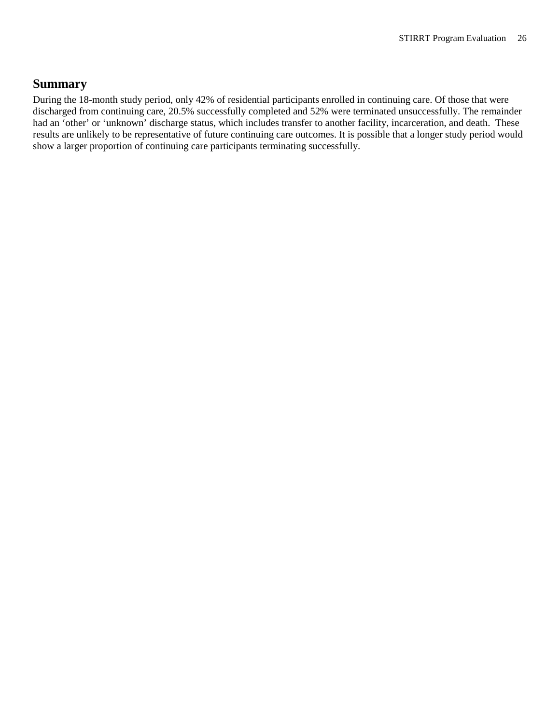### <span id="page-26-0"></span>**Summary**

During the 18-month study period, only 42% of residential participants enrolled in continuing care. Of those that were discharged from continuing care, 20.5% successfully completed and 52% were terminated unsuccessfully. The remainder had an 'other' or 'unknown' discharge status, which includes transfer to another facility, incarceration, and death. These results are unlikely to be representative of future continuing care outcomes. It is possible that a longer study period would show a larger proportion of continuing care participants terminating successfully.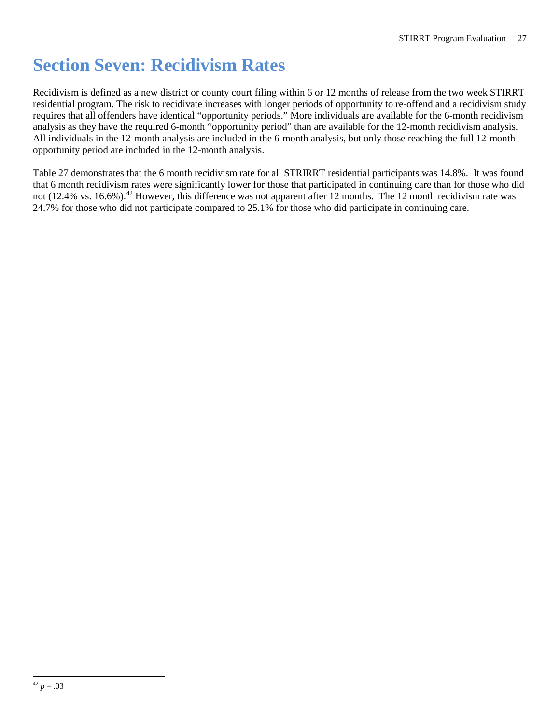## <span id="page-27-0"></span>**Section Seven: Recidivism Rates**

Recidivism is defined as a new district or county court filing within 6 or 12 months of release from the two week STIRRT residential program. The risk to recidivate increases with longer periods of opportunity to re-offend and a recidivism study requires that all offenders have identical "opportunity periods." More individuals are available for the 6-month recidivism analysis as they have the required 6-month "opportunity period" than are available for the 12-month recidivism analysis. All individuals in the 12-month analysis are included in the 6-month analysis, but only those reaching the full 12-month opportunity period are included in the 12-month analysis.

<span id="page-27-1"></span>Table 27 demonstrates that the 6 month recidivism rate for all STRIRRT residential participants was 14.8%. It was found that 6 month recidivism rates were significantly lower for those that participated in continuing care than for those who did not (12.4% vs. 16.6%).<sup>[42](#page-27-1)</sup> However, this difference was not apparent after 12 months. The 12 month recidivism rate was 24.7% for those who did not participate compared to 25.1% for those who did participate in continuing care.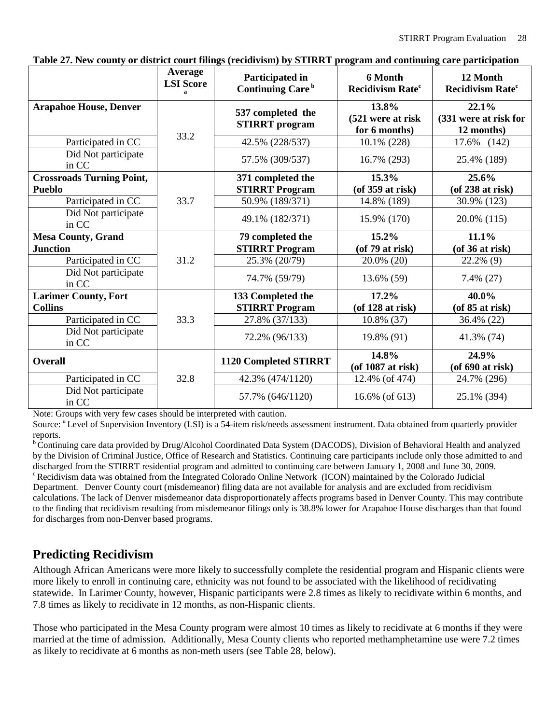|                                                   | Average<br><b>LSI</b> Score<br>$\mathbf{a}$ | Participated in<br>Continuing Care <sup>b</sup> | 6 Month<br><b>Recidivism Rate<sup>c</sup></b> | 12 Month<br><b>Recidivism Rate<sup>c</sup></b> |
|---------------------------------------------------|---------------------------------------------|-------------------------------------------------|-----------------------------------------------|------------------------------------------------|
| <b>Arapahoe House, Denver</b>                     | 33.2                                        | 537 completed the<br><b>STIRRT</b> program      | 13.8%<br>(521 were at risk<br>for 6 months)   | 22.1%<br>(331 were at risk for<br>12 months)   |
| Participated in CC                                |                                             | 42.5% (228/537)                                 | 10.1% (228)                                   | 17.6%<br>(142)                                 |
| Did Not participate<br>in CC                      |                                             | 57.5% (309/537)                                 | 16.7% (293)                                   | 25.4% (189)                                    |
| <b>Crossroads Turning Point,</b><br><b>Pueblo</b> |                                             | 371 completed the<br><b>STIRRT Program</b>      | 15.3%<br>$($ of 359 at risk $)$               | 25.6%<br>$($ of 238 at risk $)$                |
| Participated in CC                                | 33.7                                        | 50.9% (189/371)                                 | 14.8% (189)                                   | 30.9% (123)                                    |
| Did Not participate<br>in CC                      |                                             | 49.1% (182/371)                                 | 15.9% (170)                                   | 20.0% (115)                                    |
| <b>Mesa County, Grand</b>                         |                                             | 79 completed the                                | 15.2%                                         | 11.1%                                          |
| <b>Junction</b>                                   |                                             | <b>STIRRT Program</b>                           | $($ of 79 at risk $)$                         | $($ of 36 at risk $)$                          |
| Participated in CC                                | 31.2                                        | 25.3% (20/79)                                   | 20.0% (20)                                    | 22.2% (9)                                      |
| Did Not participate<br>in CC                      |                                             | 74.7% (59/79)                                   | 13.6% (59)                                    | 7.4% (27)                                      |
| <b>Larimer County, Fort</b>                       |                                             | 133 Completed the                               | 17.2%                                         | 40.0%                                          |
| <b>Collins</b>                                    |                                             | <b>STIRRT Program</b>                           | $($ of 128 at risk $)$                        | $($ of 85 at risk $)$                          |
| Participated in CC                                | 33.3                                        | 27.8% (37/133)                                  | 10.8% (37)                                    | 36.4% (22)                                     |
| Did Not participate<br>in CC                      |                                             | 72.2% (96/133)                                  | 19.8% (91)                                    | 41.3% (74)                                     |
| <b>Overall</b>                                    |                                             | 1120 Completed STIRRT                           | 14.8%<br>(of 1087 at risk)                    | 24.9%<br>$($ of 690 at risk $)$                |
| Participated in CC                                | 32.8                                        | 42.3% (474/1120)                                | 12.4% (of 474)                                | 24.7% (296)                                    |
| Did Not participate<br>in CC                      |                                             | 57.7% (646/1120)                                | 16.6% (of 613)                                | 25.1% (394)                                    |

<span id="page-28-1"></span>**Table 27. New county or district court filings (recidivism) by STIRRT program and continuing care participation**

Note: Groups with very few cases should be interpreted with caution.

Source: <sup>a</sup> Level of Supervision Inventory (LSI) is a 54-item risk/needs assessment instrument. Data obtained from quarterly provider reports.

b Continuing care data provided by Drug/Alcohol Coordinated Data System (DACODS), Division of Behavioral Health and analyzed by the Division of Criminal Justice, Office of Research and Statistics. Continuing care participants include only those admitted to and discharged from the STIRRT residential program and admitted to continuing care between January 1, 2008 and June 30, 2009.<br>
<sup>c</sup> Recidivism data was obtained from the Integrated Colorado Online Network (ICON) maintained by t Department. Denver County court (misdemeanor) filing data are not available for analysis and are excluded from recidivism calculations. The lack of Denver misdemeanor data disproportionately affects programs based in Denver County. This may contribute to the finding that recidivism resulting from misdemeanor filings only is 38.8% lower for Arapahoe House discharges than that found

for discharges from non-Denver based programs.

### <span id="page-28-0"></span>**Predicting Recidivism**

Although African Americans were more likely to successfully complete the residential program and Hispanic clients were more likely to enroll in continuing care, ethnicity was not found to be associated with the likelihood of recidivating statewide. In Larimer County, however, Hispanic participants were 2.8 times as likely to recidivate within 6 months, and 7.8 times as likely to recidivate in 12 months, as non-Hispanic clients.

Those who participated in the Mesa County program were almost 10 times as likely to recidivate at 6 months if they were married at the time of admission. Additionally, Mesa County clients who reported methamphetamine use were 7.2 times as likely to recidivate at 6 months as non-meth users (see Table 28, below).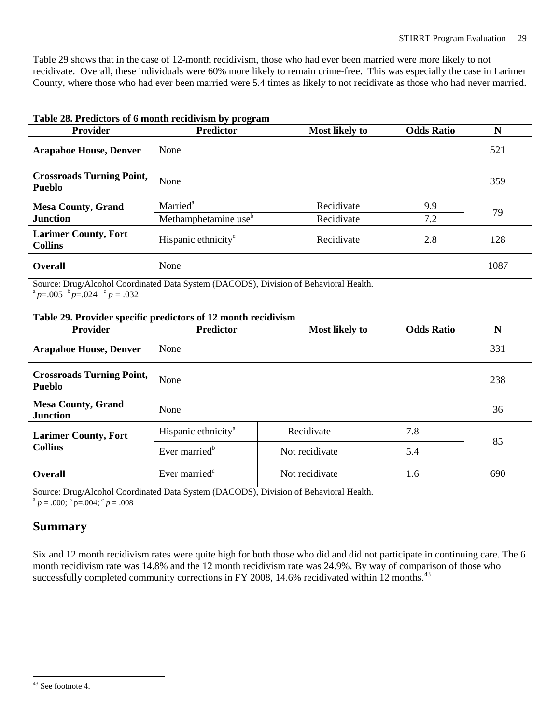Table 29 shows that in the case of 12-month recidivism, those who had ever been married were more likely to not recidivate. Overall, these individuals were 60% more likely to remain crime-free. This was especially the case in Larimer County, where those who had ever been married were 5.4 times as likely to not recidivate as those who had never married.

| <b>Provider</b>                                   | <b>Predictor</b>                 | <b>Most likely to</b> | <b>Odds Ratio</b> | N    |
|---------------------------------------------------|----------------------------------|-----------------------|-------------------|------|
| <b>Arapahoe House, Denver</b>                     | None                             |                       |                   | 521  |
| <b>Crossroads Turning Point,</b><br><b>Pueblo</b> | None                             |                       |                   | 359  |
| <b>Mesa County, Grand</b>                         | Married <sup>a</sup>             | Recidivate            | 9.9               | 79   |
| <b>Junction</b>                                   | Methamphetamine use <sup>b</sup> | Recidivate            | 7.2               |      |
| <b>Larimer County, Fort</b><br><b>Collins</b>     | Hispanic ethnicity <sup>c</sup>  | Recidivate            | 2.8               | 128  |
| <b>Overall</b>                                    | None                             |                       |                   | 1087 |

#### <span id="page-29-1"></span>**Table 28. Predictors of 6 month recidivism by program**

Source: Drug/Alcohol Coordinated Data System (DACODS), Division of Behavioral Health.  $a^a p = .005$   $b^b p = .024$   $c^c p = .032$ 

#### <span id="page-29-2"></span>**Table 29. Provider specific predictors of 12 month recidivism**

| <b>Provider</b>                                   | <b>Predictor</b>                | <b>Most likely to</b> | <b>Odds Ratio</b> | N   |  |
|---------------------------------------------------|---------------------------------|-----------------------|-------------------|-----|--|
| <b>Arapahoe House, Denver</b>                     | None                            |                       |                   | 331 |  |
| <b>Crossroads Turning Point,</b><br><b>Pueblo</b> | None                            | 238                   |                   |     |  |
| <b>Mesa County, Grand</b><br><b>Junction</b>      | None                            |                       |                   | 36  |  |
| <b>Larimer County, Fort</b>                       | Hispanic ethnicity <sup>a</sup> | Recidivate            | 7.8               | 85  |  |
| <b>Collins</b>                                    | Ever married <sup>b</sup>       | Not recidivate        | 5.4               |     |  |
| <b>Overall</b>                                    | Ever married <sup>c</sup>       | Not recidivate        | 1.6               | 690 |  |

Source: Drug/Alcohol Coordinated Data System (DACODS), Division of Behavioral Health.

<span id="page-29-0"></span> $a^{\text{a}}$  *p* = .000;  $b^{\text{b}}$  p=.004;  $c^{\text{c}}$  *p* = .008

### **Summary**

Six and 12 month recidivism rates were quite high for both those who did and did not participate in continuing care. The 6 month recidivism rate was 14.8% and the 12 month recidivism rate was 24.9%. By way of comparison of those who successfully completed community corrections in FY 2008, 14.6% recidivated within 12 months.<sup>[43](#page-29-3)</sup>

<span id="page-29-3"></span> <sup>43</sup> See footnote 4.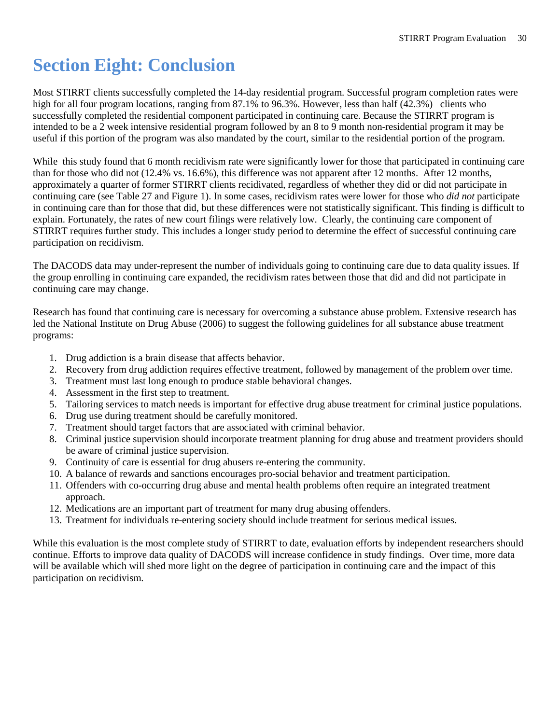## <span id="page-30-0"></span>**Section Eight: Conclusion**

Most STIRRT clients successfully completed the 14-day residential program. Successful program completion rates were high for all four program locations, ranging from 87.1% to 96.3%. However, less than half (42.3%) clients who successfully completed the residential component participated in continuing care. Because the STIRRT program is intended to be a 2 week intensive residential program followed by an 8 to 9 month non-residential program it may be useful if this portion of the program was also mandated by the court, similar to the residential portion of the program.

While this study found that 6 month recidivism rate were significantly lower for those that participated in continuing care than for those who did not (12.4% vs. 16.6%), this difference was not apparent after 12 months. After 12 months, approximately a quarter of former STIRRT clients recidivated, regardless of whether they did or did not participate in continuing care (see Table 27 and Figure 1). In some cases, recidivism rates were lower for those who *did not* participate in continuing care than for those that did, but these differences were not statistically significant. This finding is difficult to explain. Fortunately, the rates of new court filings were relatively low. Clearly, the continuing care component of STIRRT requires further study. This includes a longer study period to determine the effect of successful continuing care participation on recidivism.

The DACODS data may under-represent the number of individuals going to continuing care due to data quality issues. If the group enrolling in continuing care expanded, the recidivism rates between those that did and did not participate in continuing care may change.

Research has found that continuing care is necessary for overcoming a substance abuse problem. Extensive research has led the National Institute on Drug Abuse (2006) to suggest the following guidelines for all substance abuse treatment programs:

- 1. Drug addiction is a brain disease that affects behavior.
- 2. Recovery from drug addiction requires effective treatment, followed by management of the problem over time.
- 3. Treatment must last long enough to produce stable behavioral changes.
- 4. Assessment in the first step to treatment.
- 5. Tailoring services to match needs is important for effective drug abuse treatment for criminal justice populations.
- 6. Drug use during treatment should be carefully monitored.
- 7. Treatment should target factors that are associated with criminal behavior.
- 8. Criminal justice supervision should incorporate treatment planning for drug abuse and treatment providers should be aware of criminal justice supervision.
- 9. Continuity of care is essential for drug abusers re-entering the community.
- 10. A balance of rewards and sanctions encourages pro-social behavior and treatment participation.
- 11. Offenders with co-occurring drug abuse and mental health problems often require an integrated treatment approach.
- 12. Medications are an important part of treatment for many drug abusing offenders.
- 13. Treatment for individuals re-entering society should include treatment for serious medical issues.

While this evaluation is the most complete study of STIRRT to date, evaluation efforts by independent researchers should continue. Efforts to improve data quality of DACODS will increase confidence in study findings. Over time, more data will be available which will shed more light on the degree of participation in continuing care and the impact of this participation on recidivism.